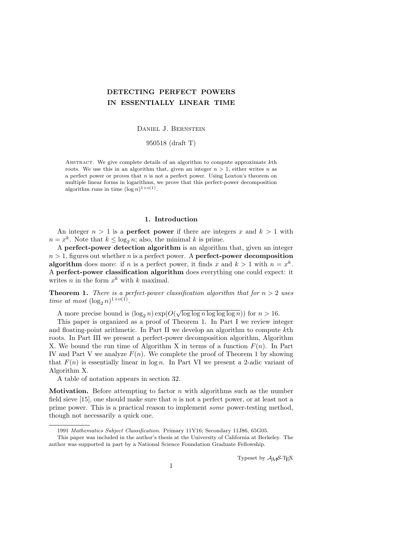# DETECTING PERFECT POWERS IN ESSENTIALLY LINEAR TIME

Daniel J. Bernstein

950518 (draft T)

ABSTRACT. We give complete details of an algorithm to compute approximate  $k$ th roots. We use this in an algorithm that, given an integer  $n > 1$ , either writes n as a perfect power or proves that  $n$  is not a perfect power. Using Loxton's theorem on multiple linear forms in logarithms, we prove that this perfect-power decomposition algorithm runs in time  $(\log n)^{1+o(1)}$ .

### 1. Introduction

An integer  $n > 1$  is a **perfect power** if there are integers x and  $k > 1$  with  $n = x^k$ . Note that  $k \leq \log_2 n$ ; also, the minimal k is prime.

A perfect-power detection algorithm is an algorithm that, given an integer  $n > 1$ , figures out whether n is a perfect power. A **perfect-power decomposition algorithm** does more: if *n* is a perfect power, it finds x and  $k > 1$  with  $n = x^k$ . A perfect-power classification algorithm does everything one could expect: it writes  $n$  in the form  $x^k$  with  $k$  maximal.

**Theorem 1.** There is a perfect-power classification algorithm that for  $n > 2$  uses time at most  $(\log_2 n)^{1+o(1)}$ .

A more precise bound is  $(\log_2 n) \exp(O(\sqrt{\log \log n \log \log n}))$  for  $n > 16$ .

This paper is organized as a proof of Theorem 1. In Part I we review integer and floating-point arithmetic. In Part II we develop an algorithm to compute kth roots. In Part III we present a perfect-power decomposition algorithm, Algorithm X. We bound the run time of Algorithm X in terms of a function  $F(n)$ . In Part IV and Part V we analyze  $F(n)$ . We complete the proof of Theorem 1 by showing that  $F(n)$  is essentially linear in  $log n$ . In Part VI we present a 2-adic variant of Algorithm X.

A table of notation appears in section 32.

**Motivation.** Before attempting to factor n with algorithms such as the number field sieve [15], one should make sure that  $n$  is not a perfect power, or at least not a prime power. This is a practical reason to implement some power-testing method, though not necessarily a quick one.

Typeset by  $A_{\mathcal{M}}S$ -T<sub>F</sub>X

<sup>1991</sup> Mathematics Subject Classification. Primary 11Y16; Secondary 11J86, 65G05.

This paper was included in the author's thesis at the University of California at Berkeley. The author was supported in part by a National Science Foundation Graduate Fellowship.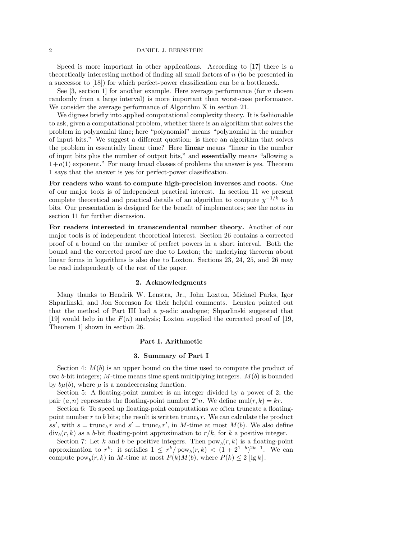Speed is more important in other applications. According to [17] there is a theoretically interesting method of finding all small factors of n (to be presented in a successor to [18]) for which perfect-power classification can be a bottleneck.

See [3, section 1] for another example. Here average performance (for n chosen randomly from a large interval) is more important than worst-case performance. We consider the average performance of Algorithm X in section 21.

We digress briefly into applied computational complexity theory. It is fashionable to ask, given a computational problem, whether there is an algorithm that solves the problem in polynomial time; here "polynomial" means "polynomial in the number of input bits." We suggest a different question: is there an algorithm that solves the problem in essentially linear time? Here linear means "linear in the number of input bits plus the number of output bits," and essentially means "allowing a  $1+o(1)$  exponent." For many broad classes of problems the answer is yes. Theorem 1 says that the answer is yes for perfect-power classification.

For readers who want to compute high-precision inverses and roots. One of our major tools is of independent practical interest. In section 11 we present complete theoretical and practical details of an algorithm to compute  $y^{-1/k}$  to b bits. Our presentation is designed for the benefit of implementors; see the notes in section 11 for further discussion.

For readers interested in transcendental number theory. Another of our major tools is of independent theoretical interest. Section 26 contains a corrected proof of a bound on the number of perfect powers in a short interval. Both the bound and the corrected proof are due to Loxton; the underlying theorem about linear forms in logarithms is also due to Loxton. Sections 23, 24, 25, and 26 may be read independently of the rest of the paper.

#### 2. Acknowledgments

Many thanks to Hendrik W. Lenstra, Jr., John Loxton, Michael Parks, Igor Shparlinski, and Jon Sorenson for their helpful comments. Lenstra pointed out that the method of Part III had a p-adic analogue; Shparlinski suggested that [19] would help in the  $F(n)$  analysis; Loxton supplied the corrected proof of [19, Theorem 1] shown in section 26.

### Part I. Arithmetic

### 3. Summary of Part I

Section 4:  $M(b)$  is an upper bound on the time used to compute the product of two b-bit integers; M-time means time spent multiplying integers.  $M(b)$  is bounded by  $b\mu(b)$ , where  $\mu$  is a nondecreasing function.

Section 5: A floating-point number is an integer divided by a power of 2; the pair  $(a, n)$  represents the floating-point number  $2<sup>a</sup>n$ . We define mul $(r, k) = kr$ .

Section 6: To speed up floating-point computations we often truncate a floatingpoint number r to b bits; the result is written trunc<sub>b</sub> r. We can calculate the product ss', with  $s = \text{trunc}_b r$  and  $s' = \text{trunc}_b r'$ , in M-time at most  $M(b)$ . We also define  $\mathrm{div}_b(r, k)$  as a b-bit floating-point approximation to  $r/k$ , for k a positive integer.

Section 7: Let k and b be positive integers. Then  $pow_b(r, k)$  is a floating-point approximation to  $r^k$ : it satisfies  $1 \leq r^k / \text{pow}_b(r, k) < (1 + 2^{1-b})^{2k-1}$ . We can compute  $pow_b(r, k)$  in M-time at most  $P(k)M(b)$ , where  $P(k) \leq 2 \lfloor \lg k \rfloor$ .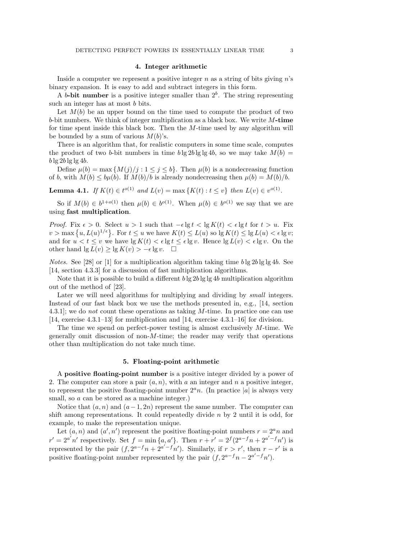### 4. Integer arithmetic

Inside a computer we represent a positive integer  $n$  as a string of bits giving  $n$ 's binary expansion. It is easy to add and subtract integers in this form.

A b-bit number is a positive integer smaller than  $2<sup>b</sup>$ . The string representing such an integer has at most b bits.

Let  $M(b)$  be an upper bound on the time used to compute the product of two b-bit numbers. We think of integer multiplication as a black box. We write  $M$ -time for time spent inside this black box. Then the  $M$ -time used by any algorithm will be bounded by a sum of various  $M(b)$ 's.

There is an algorithm that, for realistic computers in some time scale, computes the product of two b-bit numbers in time  $b \lg 2b \lg \lg 4b$ , so we may take  $M(b)$  =  $b \lg 2b \lg \lg 4b$ .

Define  $\mu(b) = \max \{M(j)/j : 1 \le j \le b\}$ . Then  $\mu(b)$  is a nondecreasing function of b, with  $M(b) \le b\mu(b)$ . If  $M(b)/b$  is already nondecreasing then  $\mu(b) = M(b)/b$ .

**Lemma 4.1.** If  $K(t) \in t^{o(1)}$  and  $L(v) = \max \{ K(t) : t \le v \}$  then  $L(v) \in v^{o(1)}$ .

So if  $M(b) \in b^{1+o(1)}$  then  $\mu(b) \in b^{o(1)}$ . When  $\mu(b) \in b^{o(1)}$  we say that we are using fast multiplication.

Proof. Fix  $\epsilon > 0$ . Select  $u > 1$  such that  $-\epsilon \lg t < \lg K(t) < \epsilon \lg t$  for  $t > u$ . Fix  $v > \max\left\{u, L(u)^{1/\epsilon}\right\}$ . For  $t \leq u$  we have  $K(t) \leq L(u)$  so  $\lg K(t) \leq \lg L(u) < \epsilon \lg v$ ; and for  $u < t \leq v$  we have  $\lg K(t) < \epsilon \lg t \leq \epsilon \lg v$ . Hence  $\lg L(v) < \epsilon \lg v$ . On the other hand  $\lg L(v) \ge \lg K(v) > -\epsilon \lg v$ . □

*Notes.* See [28] or [1] for a multiplication algorithm taking time  $b \lg 2b \lg \lg 4b$ . See [14, section 4.3.3] for a discussion of fast multiplication algorithms.

Note that it is possible to build a different  $b \lg 2b \lg \lg 4b$  multiplication algorithm out of the method of [23].

Later we will need algorithms for multiplying and dividing by small integers. Instead of our fast black box we use the methods presented in, e.g., [14, section 4.3.1]; we do *not* count these operations as taking  $M$ -time. In practice one can use [14, exercise 4.3.1–13] for multiplication and [14, exercise 4.3.1–16] for division.

The time we spend on perfect-power testing is almost exclusively  $M$ -time. We generally omit discussion of non-M-time; the reader may verify that operations other than multiplication do not take much time.

#### 5. Floating-point arithmetic

A positive floating-point number is a positive integer divided by a power of 2. The computer can store a pair  $(a, n)$ , with a an integer and n a positive integer, to represent the positive floating-point number  $2^a n$ . (In practice |a| is always very small, so a can be stored as a machine integer.)

Notice that  $(a, n)$  and  $(a-1, 2n)$  represent the same number. The computer can shift among representations. It could repeatedly divide  $n$  by 2 until it is odd, for example, to make the representation unique.

Let  $(a, n)$  and  $(a', n')$  represent the positive floating-point numbers  $r = 2<sup>a</sup> n$  and  $r' = 2^{a'}n'$  respectively. Set  $f = \min\{a, a'\}$ . Then  $r + r' = 2^f(2^{a-f}n + 2^{a'-f}n')$  is represented by the pair  $(f, 2^{a-f}n + 2^{a'-f}n')$ . Similarly, if  $r > r'$ , then  $r - r'$  is a positive floating-point number represented by the pair  $(f, 2^{a-f}n - 2^{a'-f}n')$ .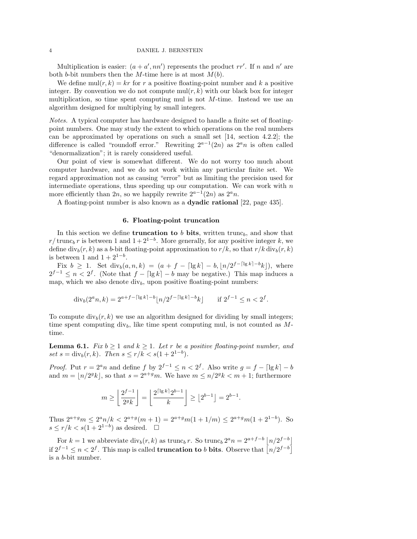Multiplication is easier:  $(a + a', nn')$  represents the product rr'. If n and n' are both b-bit numbers then the M-time here is at most  $M(b)$ .

We define  $\text{mul}(r, k) = kr$  for r a positive floating-point number and k a positive integer. By convention we do not compute  $\text{mul}(r, k)$  with our black box for integer multiplication, so time spent computing mul is not  $M$ -time. Instead we use an algorithm designed for multiplying by small integers.

Notes. A typical computer has hardware designed to handle a finite set of floatingpoint numbers. One may study the extent to which operations on the real numbers can be approximated by operations on such a small set [14, section 4.2.2]; the difference is called "roundoff error." Rewriting  $2^{a-1}(2n)$  as  $2^a n$  is often called "denormalization"; it is rarely considered useful.

Our point of view is somewhat different. We do not worry too much about computer hardware, and we do not work within any particular finite set. We regard approximation not as causing "error" but as limiting the precision used for intermediate operations, thus speeding up our computation. We can work with  $n$ more efficiently than 2n, so we happily rewrite  $2^{a-1}(2n)$  as  $2^a n$ .

A floating-point number is also known as a dyadic rational [22, page 435].

### 6. Floating-point truncation

In this section we define **truncation to** b bits, written trunc<sub>b</sub>, and show that  $r/\text{trunc}_b r$  is between 1 and  $1+2^{1-b}$ . More generally, for any positive integer k, we define  $\text{div}_b(r, k)$  as a b-bit floating-point approximation to  $r/k$ , so that  $r/k \text{div}_b(r, k)$ is between 1 and  $1 + 2^{1-b}$ .

Fix  $b \ge 1$ . Set div<sub>b</sub> $(a, n, k) = (a + f - \lceil \lg k \rceil - b, \lfloor n/2^{f - \lceil \lg k \rceil - b} k \rfloor)$ , where  $2^{f-1} \leq n < 2^f$ . (Note that  $f - \lceil \lg k \rceil - b$  may be negative.) This map induces a map, which we also denote  $div_b$ , upon positive floating-point numbers:

$$
\operatorname{div}_b(2^a n, k) = 2^{a+f-\lceil \lg k \rceil - b} \lfloor n/2^{f-\lceil \lg k \rceil - b} k \rfloor \quad \text{if } 2^{f-1} \le n < 2^f.
$$

To compute  $div_b(r, k)$  we use an algorithm designed for dividing by small integers; time spent computing div<sub>b</sub>, like time spent computing mul, is not counted as  $M$ time.

**Lemma 6.1.** Fix  $b \ge 1$  and  $k \ge 1$ . Let r be a positive floating-point number, and set  $s = \text{div}_b(r, k)$ . Then  $s \le r/k < s(1 + 2^{1-b})$ .

*Proof.* Put  $r = 2^a n$  and define f by  $2^{f-1} \le n < 2^f$ . Also write  $g = f - \lfloor \lg k \rfloor - b$ and  $m = |n/2<sup>g</sup>k|$ , so that  $s = 2<sup>a+g</sup>m$ . We have  $m \leq n/2<sup>g</sup>k < m+1$ ; furthermore

$$
m \ge \left\lfloor \frac{2^{f-1}}{2^g k} \right\rfloor = \left\lfloor \frac{2^{\lceil \lg k \rceil} 2^{b-1}}{k} \right\rfloor \ge \left\lfloor 2^{b-1} \right\rfloor = 2^{b-1}
$$

.

Thus  $2^{a+g}m \leq 2^a n/k < 2^{a+g}(m+1) = 2^{a+g}m(1+1/m) \leq 2^{a+g}m(1+2^{1-b})$ . So  $s \leq r/k < s(1+2^{1-b})$  as desired.  $\square$ 

For  $k = 1$  we abbreviate  $\text{div}_b(r, k)$  as trunc<sub>b</sub> r. So trunc<sub>b</sub>  $2^a n = 2^{a+f-b} \left\lfloor \frac{n}{2^{f-b}} \right\rfloor$ if  $2^{f-1}$  ≤  $n < 2<sup>f</sup>$ . This map is called **truncation to** b **bits**. Observe that  $\lfloor n/2^{f-b} \rfloor$ is a b-bit number.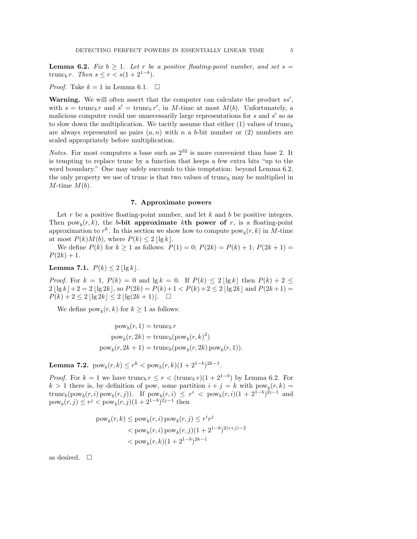**Lemma 6.2.** Fix  $b \geq 1$ . Let r be a positive floating-point number, and set  $s =$ trunc<sub>b</sub> r. Then  $s \le r < s(1 + 2^{1-b}).$ 

*Proof.* Take  $k = 1$  in Lemma 6.1.  $\Box$ 

Warning. We will often assert that the computer can calculate the product  $ss'$ , with  $s = \text{trunc}_b r$  and  $s' = \text{trunc}_b r'$ , in M-time at most  $M(b)$ . Unfortunately, a malicious computer could use unnecessarily large representations for  $s$  and  $s'$  so as to slow down the multiplication. We tacitly assume that either  $(1)$  values of trunch are always represented as pairs  $(a, n)$  with n a b-bit number or (2) numbers are scaled appropriately before multiplication.

*Notes.* For most computers a base such as  $2^{32}$  is more convenient than base 2. It is tempting to replace trunc by a function that keeps a few extra bits "up to the word boundary." One may safely succumb to this temptation: beyond Lemma 6.2, the only property we use of trunc is that two values of trunc<sub>b</sub> may be multiplied in  $M$ -time  $M(b)$ .

### 7. Approximate powers

Let r be a positive floating-point number, and let  $k$  and  $b$  be positive integers. Then  $pow_b(r, k)$ , the b-bit approximate kth power of r, is a floating-point approximation to  $r^k$ . In this section we show how to compute  $\text{pow}_b(r, k)$  in M-time at most  $P(k)M(b)$ , where  $P(k) \leq 2 |\lg k|$ .

We define  $P(k)$  for  $k \ge 1$  as follows:  $P(1) = 0$ ;  $P(2k) = P(k) + 1$ ;  $P(2k + 1) =$  $P(2k) + 1.$ 

Lemma 7.1.  $P(k) \leq 2 |\lg k|$ .

*Proof.* For  $k = 1$ ,  $P(k) = 0$  and  $\lg k = 0$ . If  $P(k) \leq 2 |\lg k|$  then  $P(k) + 2 \leq$  $2 \lfloor \lg k \rfloor + 2 = 2 \lfloor \lg 2k \rfloor$ , so  $P(2k) = P(k) + 1 < P(k) + 2 \leq 2 \lfloor \lg 2k \rfloor$  and  $P(2k+1) =$  $P(k) + 2 \leq 2 |\lg 2k| \leq 2 |\lg(2k + 1)|. \quad \Box$ 

We define  $pow_b(r, k)$  for  $k \ge 1$  as follows:

$$
powb(r, 1) = truncb r
$$
  
\n
$$
powb(r, 2k) = truncb(powb(r, k)2)
$$
  
\n
$$
powb(r, 2k + 1) = truncb(powb(r, 2k) powb(r, 1)).
$$

**Lemma 7.2.**  $pow_b(r, k) \le r^k < pow_b(r, k)(1 + 2^{1-b})^{2k-1}.$ 

*Proof.* For  $k = 1$  we have trunc<sub>b</sub>  $r \leq r < (\text{trunc}_b r)(1 + 2^{1-b})$  by Lemma 6.2. For  $k > 1$  there is, by definition of pow, some partition  $i + j = k$  with  $pow_b(r, k) =$ trunc<sub>b</sub>(pow<sub>b</sub>(r, i) pow<sub>b</sub>(r, j)). If pow<sub>b</sub>(r, i)  $\leq r^i < \text{pow}_b(r, i)(1 + 2^{1-b})^{2i-1}$  and  $pow_b(r, j) \le r^j$  <  $pow_b(r, j)$  $(1 + 2^{1-b})^{2j-1}$  then

$$
\begin{aligned} \text{pow}_b(r,k) &\leq \text{pow}_b(r,i) \text{ pow}_b(r,j) \leq r^i r^j \\ &< \text{pow}_b(r,i) \text{ pow}_b(r,j) (1+2^{1-b})^{2(i+j)-2} \\ &< \text{pow}_b(r,k) (1+2^{1-b})^{2k-1} \end{aligned}
$$

as desired.  $\square$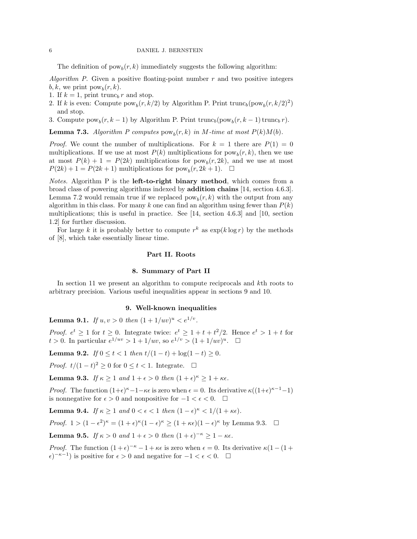The definition of  $pow_b(r, k)$  immediately suggests the following algorithm:

Algorithm P. Given a positive floating-point number  $r$  and two positive integers  $b, k$ , we print  $pow_b(r, k)$ .

- 1. If  $k = 1$ , print trunc<sub>b</sub> r and stop.
- 2. If k is even: Compute  $\text{pow}_b(r, k/2)$  by Algorithm P. Print  $\text{trunc}_b(\text{pow}_b(r, k/2)^2)$ and stop.
- 3. Compute  $\text{pow}_b(r, k-1)$  by Algorithm P. Print  $\text{trunc}_b(\text{pow}_b(r, k-1) \text{trunc}_b r)$ .

**Lemma 7.3.** Algorithm P computes  $pow_b(r, k)$  in M-time at most  $P(k)M(b)$ .

*Proof.* We count the number of multiplications. For  $k = 1$  there are  $P(1) = 0$ multiplications. If we use at most  $P(k)$  multiplications for  $pow_b(r, k)$ , then we use at most  $P(k) + 1 = P(2k)$  multiplications for  $pow_b(r, 2k)$ , and we use at most  $P(2k) + 1 = P(2k + 1)$  multiplications for  $pow_b(r, 2k + 1)$ .  $\Box$ 

*Notes.* Algorithm P is the **left-to-right binary method**, which comes from a broad class of powering algorithms indexed by addition chains [14, section 4.6.3]. Lemma 7.2 would remain true if we replaced  $pow_b(r, k)$  with the output from any algorithm in this class. For many k one can find an algorithm using fewer than  $P(k)$ multiplications; this is useful in practice. See [14, section 4.6.3] and [10, section 1.2] for further discussion.

For large k it is probably better to compute  $r^k$  as  $\exp(k \log r)$  by the methods of [8], which take essentially linear time.

#### Part II. Roots

#### 8. Summary of Part II

In section 11 we present an algorithm to compute reciprocals and kth roots to arbitrary precision. Various useful inequalities appear in sections 9 and 10.

### 9. Well-known inequalities

**Lemma 9.1.** If  $u, v > 0$  then  $(1 + 1/uv)^u < e^{1/v}$ .

*Proof.*  $e^t \geq 1$  for  $t \geq 0$ . Integrate twice:  $e^t \geq 1 + t + t^2/2$ . Hence  $e^t > 1 + t$  for  $t > 0$ . In particular  $e^{1/uv} > 1 + 1/uv$ , so  $e^{1/v} > (1 + 1/uv)^u$ .  $\Box$ 

Lemma 9.2. If  $0 \le t \le 1$  then  $t/(1-t) + \log(1-t) \ge 0$ .

*Proof.*  $t/(1-t)^2 \ge 0$  for  $0 \le t < 1$ . Integrate. □

**Lemma 9.3.** If  $\kappa \geq 1$  and  $1 + \epsilon > 0$  then  $(1 + \epsilon)^{\kappa} \geq 1 + \kappa \epsilon$ .

*Proof.* The function  $(1+\epsilon)^{\kappa} - 1 - \kappa \epsilon$  is zero when  $\epsilon = 0$ . Its derivative  $\kappa((1+\epsilon)^{\kappa-1}-1)$ is nonnegative for  $\epsilon > 0$  and nonpositive for  $-1 < \epsilon < 0$ . □

**Lemma 9.4.** If  $\kappa \geq 1$  and  $0 < \epsilon < 1$  then  $(1 - \epsilon)^{\kappa} < 1/(1 + \kappa \epsilon)$ .

Proof.  $1 > (1 - \epsilon^2)^{\kappa} = (1 + \epsilon)^{\kappa} (1 - \epsilon)^{\kappa} \ge (1 + \kappa \epsilon)(1 - \epsilon)^{\kappa}$  by Lemma 9.3.  $\Box$ 

**Lemma 9.5.** If  $\kappa > 0$  and  $1 + \epsilon > 0$  then  $(1 + \epsilon)^{-\kappa} \geq 1 - \kappa \epsilon$ .

*Proof.* The function  $(1+\epsilon)^{-\kappa} - 1 + \kappa \epsilon$  is zero when  $\epsilon = 0$ . Its derivative  $\kappa(1-(1+\epsilon)^{-\kappa} - 1 + \kappa \epsilon)$  $\epsilon$ )<sup>- $\kappa$ -1</sup>) is positive for  $\epsilon > 0$  and negative for  $-1 < \epsilon < 0$ . □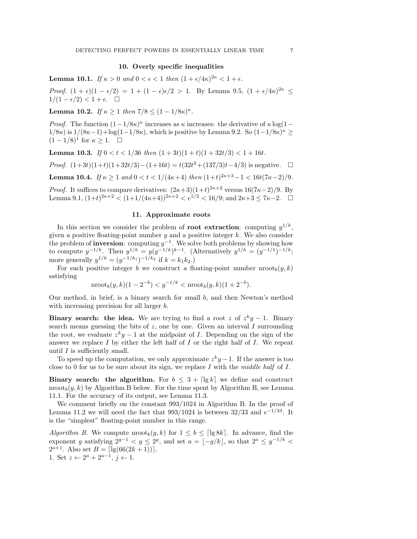# 10. Overly specific inequalities

**Lemma 10.1.** If  $\kappa > 0$  and  $0 < \epsilon < 1$  then  $(1 + \epsilon/4\kappa)^{2\kappa} < 1 + \epsilon$ .

Proof.  $(1 + \epsilon)(1 - \epsilon/2) = 1 + (1 - \epsilon)\epsilon/2 > 1$ . By Lemma 9.5,  $(1 + \epsilon/4\kappa)^{2\kappa} \le$  $1/(1 - \epsilon/2) < 1 + \epsilon$ .  $\Box$ 

**Lemma 10.2.** If  $\kappa \ge 1$  then  $7/8 \le (1 - 1/8\kappa)^{\kappa}$ .

*Proof.* The function  $(1-1/8\kappa)^\kappa$  increases as  $\kappa$  increases: the derivative of  $\kappa \log(1-\kappa)$  $1/8\kappa$ ) is  $1/(8\kappa-1)+\log(1-1/8\kappa)$ , which is positive by Lemma 9.2. So  $(1-1/8\kappa)$ <sup> $\kappa$ </sup> ≥  $(1-1/8)^{1}$  for  $\kappa \geq 1$ .  $\Box$ 

**Lemma 10.3.** If  $0 < t < 1/36$  then  $(1+3t)(1+t)(1+32t/3) < 1+16t$ .

*Proof.*  $(1+3t)(1+t)(1+32t/3) - (1+16t) = t(32t^2 + (137/3)t - 4/3)$  is negative. □

**Lemma 10.4.** If  $\kappa \geq 1$  and  $0 < t < 1/(4\kappa+4)$  then  $(1+t)^{2\kappa+3} - 1 < 16t(7\kappa-2)/9$ .

*Proof.* It suffices to compare derivatives:  $(2\kappa+3)(1+t)^{2\kappa+2}$  versus  $16(7\kappa-2)/9$ . By Lemma 9.1,  $(1+t)^{2\kappa+2} < (1+1/(4\kappa+4))^{2\kappa+2} < e^{1/2} < 16/9$ ; and  $2\kappa+3 \leq 7\kappa-2$ .  $\Box$ 

### 11. Approximate roots

In this section we consider the problem of **root extraction**: computing  $y^{1/k}$ , given a positive floating-point number  $y$  and a positive integer  $k$ . We also consider the problem of **inversion**: computing  $y^{-1}$ . We solve both problems by showing how to compute  $y^{-1/k}$ . Then  $y^{1/k} = y(y^{-1/k})^{k-1}$ . (Alternatively  $y^{1/k} = (y^{-1/1})^{-1/k}$ ; more generally  $y^{1/k} = (y^{-1/k_1})^{-1/k_2}$  if  $k = k_1 k_2$ .)

For each positive integer b we construct a floating-point number  $\text{moot}_b(y, k)$ satisfying

$$
\text{nroot}_b(y,k)(1-2^{-b}) < y^{-1/k} < \text{nroot}_b(y,k)(1+2^{-b}).
$$

Our method, in brief, is a binary search for small  $b$ , and then Newton's method with increasing precision for all larger  $b$ .

**Binary search: the idea.** We are trying to find a root z of  $z^k y - 1$ . Binary search means guessing the bits of  $z$ , one by one. Given an interval  $I$  surrounding the root, we evaluate  $z^k y - 1$  at the midpoint of I. Depending on the sign of the answer we replace  $I$  by either the left half of  $I$  or the right half of  $I$ . We repeat until  $I$  is sufficiently small.

To speed up the computation, we only approximate  $z^k y - 1$ . If the answer is too close to 0 for us to be sure about its sign, we replace  $I$  with the middle half of  $I$ .

Binary search: the algorithm. For  $b \leq 3 + \lceil \lg k \rceil$  we define and construct nroot<sub>b</sub> $(y, k)$  by Algorithm B below. For the time spent by Algorithm B, see Lemma 11.1. For the accuracy of its output, see Lemma 11.3.

We comment briefly on the constant 993/1024 in Algorithm B. In the proof of Lemma 11.2 we will need the fact that  $993/1024$  is between  $32/33$  and  $e^{-1/33}$ . It is the "simplest" floating-point number in this range.

Algorithm B. We compute  $\text{nroot}_b(y, k)$  for  $1 \leq b \leq \lceil \lg 8k \rceil$ . In advance, find the exponent g satisfying  $2^{g-1} < y \le 2^g$ , and set  $a = |-g/k|$ , so that  $2^a \le y^{-1/k} <$  $2^{a+1}$ . Also set  $B = \lfloor \lg(66(2k+1)) \rfloor$ . 1. Set  $z \leftarrow 2^a + 2^{a-1}, j \leftarrow 1$ .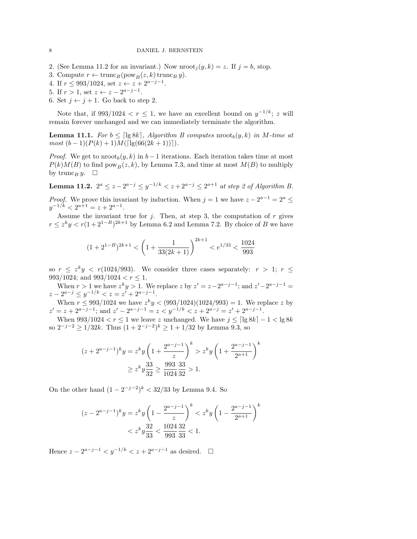- 2. (See Lemma 11.2 for an invariant.) Now  $\text{rroot}_i(y, k) = z$ . If  $j = b$ , stop.
- 3. Compute  $r \leftarrow \text{trunc}_B(\text{pow}_B(z, k) \text{trunc}_B y).$
- 4. If  $r \le 993/1024$ , set  $z \leftarrow z + 2^{a-j-1}$ .
- 5. If  $r > 1$ , set  $z \leftarrow z 2^{a-j-1}$ .
- 6. Set  $j \leftarrow j + 1$ . Go back to step 2.

Note that, if  $993/1024 < r \leq 1$ , we have an excellent bound on  $y^{-1/k}$ ; z will remain forever unchanged and we can immediately terminate the algorithm.

**Lemma 11.1.** For  $b \leq \lceil \lg 8k \rceil$ , Algorithm B computes  $\text{nroot}_b(y, k)$  in M-time at  $most (b-1)(P(k) + 1)M(\lceil \lg(66(2k+1)) \rceil).$ 

*Proof.* We get to  $\text{nroot}_b(y, k)$  in  $b-1$  iterations. Each iteration takes time at most  $P(k)M(B)$  to find pow<sub>B</sub> $(z, k)$ , by Lemma 7.3, and time at most  $M(B)$  to multiply by trunc<sub>B</sub> y.  $\square$ 

**Lemma 11.2.**  $2^a \le z - 2^{a-j} \le y^{-1/k} < z + 2^{a-j} \le 2^{a+1}$  at step 2 of Algorithm B.

*Proof.* We prove this invariant by induction. When  $j = 1$  we have  $z - 2^{a-1} = 2^a \leq$  $y^{-1/k} < 2^{a+1} = z + 2^{a-1}.$ 

Assume the invariant true for  $j$ . Then, at step 3, the computation of  $r$  gives  $r \leq z^k y < r(1+2^{1-B})^{2k+1}$  by Lemma 6.2 and Lemma 7.2. By choice of B we have

$$
(1+2^{1-B})^{2k+1} < \left(1 + \frac{1}{33(2k+1)}\right)^{2k+1} < e^{1/33} < \frac{1024}{993}
$$

so  $r \leq z^k y \leq r(1024/993)$ . We consider three cases separately:  $r > 1$ ;  $r \leq$ 993/1024; and  $993/1024 < r < 1$ .

When  $r > 1$  we have  $z^k y > 1$ . We replace z by  $z' = z - 2^{a-j-1}$ ; and  $z' - 2^{a-j-1} =$  $z - 2^{a-j} \leq y^{-1/k} < z = z' + 2^{a-j-1}.$ 

When  $r \leq 993/1024$  we have  $z^k y < (993/1024)(1024/993) = 1$ . We replace z by  $z' = z + 2^{a-j-1}$ ; and  $z' - 2^{a-j-1} = z < y^{-1/k} < z + 2^{a-j} = z' + 2^{a-j-1}$ .

When  $993/1024 < r \le 1$  we leave z unchanged. We have  $j \le \lceil \lg 8k \rceil - 1 < \lg 8k$ so  $2^{-j-2} \geq 1/32k$ . Thus  $(1+2^{-j-2})^k \geq 1+1/32$  by Lemma 9.3, so

$$
(z + 2^{a-j-1})^k y = z^k y \left( 1 + \frac{2^{a-j-1}}{z} \right)^k > z^k y \left( 1 + \frac{2^{a-j-1}}{2^{a+1}} \right)^k
$$
  
 
$$
\geq z^k y \frac{33}{32} \geq \frac{993}{1024} \frac{33}{32} > 1.
$$

On the other hand  $(1 - 2^{-j-2})^k < 32/33$  by Lemma 9.4. So

$$
(z - 2^{a-j-1})^k y = z^k y \left( 1 - \frac{2^{a-j-1}}{z} \right)^k < z^k y \left( 1 - \frac{2^{a-j-1}}{2^{a+1}} \right)^k
$$
  

$$
< z^k y \frac{32}{33} < \frac{1024}{993} \frac{32}{33} < 1.
$$

Hence  $z - 2^{a-j-1} < y^{-1/k} < z + 2^{a-j-1}$  as desired.  $\square$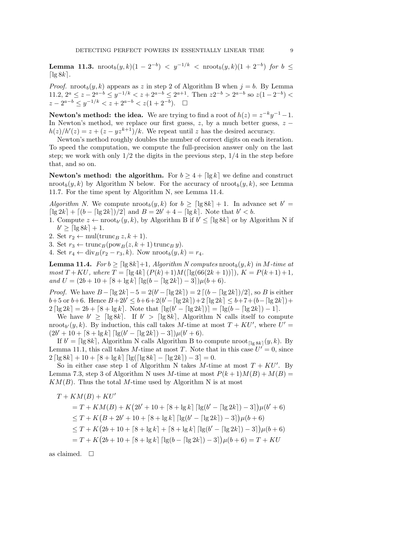Lemma 11.3.  $\text{nroot}_b(y,k)(1-2^{-b}) \, < \, y^{-1/k} \, < \, \text{nroot}_b(y,k)(1+2^{-b})$  for  $b \, \leq$  $\lceil \lg 8k \rceil$ .

*Proof.* nroot<sub>b</sub> $(y, k)$  appears as z in step 2 of Algorithm B when  $j = b$ . By Lemma 11.2,  $2^a \le z - 2^{a-b} \le y^{-1/k} < z + 2^{a-b} \le 2^{a+1}$ . Then  $z2^{-b} > 2^{a-b}$  so  $z(1 - 2^{-b}) <$  $z - 2^{a-b} \leq y^{-1/k} < z + 2^{a-b} < z(1 + 2^{-b}).$ 

**Newton's method: the idea.** We are trying to find a root of  $h(z) = z^{-k}y^{-1} - 1$ . In Newton's method, we replace our first guess,  $z$ , by a much better guess,  $z$  $h(z)/h'(z) = z + (z - yz^{k+1})/k$ . We repeat until z has the desired accuracy.

Newton's method roughly doubles the number of correct digits on each iteration. To speed the computation, we compute the full-precision answer only on the last step; we work with only  $1/2$  the digits in the previous step,  $1/4$  in the step before that, and so on.

**Newton's method: the algorithm.** For  $b \geq 4 + \lceil \lg k \rceil$  we define and construct nroot<sub>b</sub> $(y, k)$  by Algorithm N below. For the accuracy of nroot<sub>b</sub> $(y, k)$ , see Lemma 11.7. For the time spent by Algorithm N, see Lemma 11.4.

Algorithm N. We compute  $\text{proof}_b(y, k)$  for  $b \geq \lceil \lg 8k \rceil + 1$ . In advance set  $b' =$  $\lceil \lg 2k \rceil + \lceil (b - \lceil \lg 2k \rceil)/2 \rceil$  and  $B = 2b' + 4 - \lceil \lg k \rceil$ . Note that  $b' < b$ .

1. Compute  $z \leftarrow \text{nroot}_{b'}(y, k)$ , by Algorithm B if  $b' \leq \lceil \lg 8k \rceil$  or by Algorithm N if  $b' \geq \lceil \lg 8k \rceil + 1.$ 

2. Set  $r_2 \leftarrow \text{mul}(\text{trunc}_B z, k+1)$ .

3. Set  $r_3 \leftarrow \text{trunc}_B(\text{pow}_B(z, k+1) \text{trunc}_B y).$ 

4. Set  $r_4 \leftarrow \text{div}_B(r_2 - r_3, k)$ . Now  $\text{mroot}_b(y, k) = r_4$ .

**Lemma 11.4.** For  $b \geq \lceil \lg 8k \rceil + 1$ , Algorithm N computes nroot<sub>b</sub> $(y, k)$  in M-time at most  $T + KU$ , where  $T = \left[\lg 4k\right] (P(k) + 1) M(\left[\lg(66(2k+1))\right])$ ,  $K = P(k+1)+1$ , and  $U = (2b + 10 + \lceil 8 + \lg k \rceil \lceil \lg(b - \lceil \lg 2k \rceil) - 3 \rceil) \mu(b + 6).$ 

*Proof.* We have  $B - \lceil \lg 2k \rceil - 5 = 2(b' - \lceil \lg 2k \rceil) = 2 \lceil (b - \lceil \lg 2k \rceil)/2 \rceil$ , so B is either  $b+5$  or  $b+6$ . Hence  $B+2b' \leq b+6+2(b'-\lceil \lg 2k \rceil) + 2 \lceil \lg 2k \rceil \leq b+7+(b-\lceil \lg 2k \rceil) +$  $2 \lceil \lg 2k \rceil = 2b + \lceil 8 + \lg k \rceil$ . Note that  $\lceil \lg(b' - \lceil \lg 2k \rceil) \rceil = \lceil \lg(b - \lceil \lg 2k \rceil) - 1 \rceil$ .

We have  $b' \geq \lceil \lg 8k \rceil$ . If  $b' > \lceil \lg 8k \rceil$ , Algorithm N calls itself to compute nroot<sub>*b'*</sub> $(y, k)$ . By induction, this call takes *M*-time at most  $T + KU'$ , where  $U' =$  $(2b' + 10 + \lceil 8 + \lg k \rceil \lceil \lg(b' - \lceil \lg 2k \rceil) - 3 \rceil) \mu(b' + 6).$ 

If  $b' = \lceil \lg 8k \rceil$ , Algorithm N calls Algorithm B to compute nroot $\lceil \lg 8k \rceil(y, k)$ . By Lemma 11.1, this call takes M-time at most T. Note that in this case  $U' = 0$ , since  $2 \left[ \lg 8k \right] + 10 + \left[ 8 + \lg k \right] \left[ \lg \left( \left[ \lg 8k \right] - \left[ \lg 2k \right] \right) - 3 \right] = 0.$ 

So in either case step 1 of Algorithm N takes M-time at most  $T + KU'$ . By Lemma 7.3, step 3 of Algorithm N uses M-time at most  $P(k+1)M(B) + M(B) =$  $KM(B)$ . Thus the total M-time used by Algorithm N is at most

$$
T + KM(B) + KU'
$$
  
=  $T + KM(B) + K(2b' + 10 + [8 + \lg k] [\lg(b' - [\lg 2k]) - 3])\mu(b' + 6)$   
 $\leq T + K(B + 2b' + 10 + [8 + \lg k] [\lg(b' - [\lg 2k]) - 3])\mu(b + 6)$   
 $\leq T + K(2b + 10 + [8 + \lg k] + [8 + \lg k] [\lg(b' - [\lg 2k]) - 3])\mu(b + 6)$   
=  $T + K(2b + 10 + [8 + \lg k] [\lg(b - [\lg 2k]) - 3])\mu(b + 6) = T + KU$ 

as claimed.  $\square$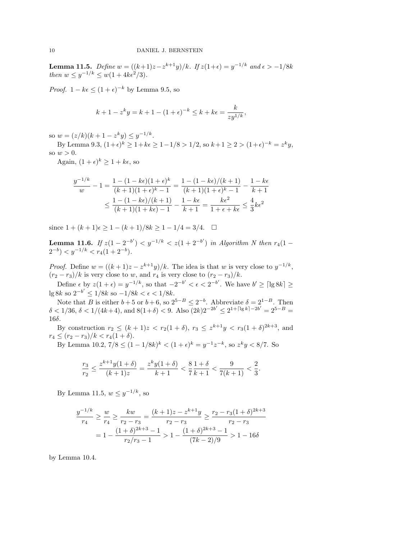**Lemma 11.5.** Define  $w = ((k+1)z - z^{k+1}y)/k$ . If  $z(1+\epsilon) = y^{-1/k}$  and  $\epsilon > -1/8k$ then  $w \leq y^{-1/k} \leq w(1 + 4k\epsilon^2/3)$ .

*Proof.*  $1 - k\epsilon \leq (1 + \epsilon)^{-k}$  by Lemma 9.5, so

$$
k + 1 - z^k y = k + 1 - (1 + \epsilon)^{-k} \le k + k\epsilon = \frac{k}{zy^{1/k}},
$$

so  $w = (z/k)(k+1-z^k y) \le y^{-1/k}$ .

By Lemma 9.3,  $(1+\epsilon)^k \ge 1+k\epsilon \ge 1-1/8 > 1/2$ , so  $k+1 \ge 2 > (1+\epsilon)^{-k} = z^k y$ , so  $w > 0$ .

Again,  $(1+\epsilon)^k \geq 1+k\epsilon$ , so

$$
\frac{y^{-1/k}}{w} - 1 = \frac{1 - (1 - k\epsilon)(1 + \epsilon)^k}{(k+1)(1 + \epsilon)^k - 1} = \frac{1 - (1 - k\epsilon)/(k+1)}{(k+1)(1 + \epsilon)^k - 1} - \frac{1 - k\epsilon}{k+1}
$$

$$
\leq \frac{1 - (1 - k\epsilon)/(k+1)}{(k+1)(1 + k\epsilon) - 1} - \frac{1 - k\epsilon}{k+1} = \frac{k\epsilon^2}{1 + \epsilon + k\epsilon} \leq \frac{4}{3}k\epsilon^2
$$

since  $1 + (k+1)\epsilon \geq 1 - (k+1)/8k \geq 1 - 1/4 = 3/4.$ 

**Lemma 11.6.** If  $z(1-2^{-b'}) < y^{-1/k} < z(1+2^{-b'})$  in Algorithm N then  $r_4(1 (2^{-b}) < y^{-1/k} < r_4(1+2^{-b}).$ 

*Proof.* Define  $w = ((k+1)z - z^{k+1}y)/k$ . The idea is that w is very close to  $y^{-1/k}$ ,  $(r_2 - r_3)/k$  is very close to w, and  $r_4$  is very close to  $(r_2 - r_3)/k$ .

Define  $\epsilon$  by  $z(1+\epsilon) = y^{-1/k}$ , so that  $-2^{-b'} < \epsilon < 2^{-b'}$ . We have  $b' \geq \lceil \lg 8k \rceil \geq 1$ lg 8k so  $2^{-b'} \le 1/8k$  so  $-1/8k < \epsilon < 1/8k$ .

Note that B is either  $b+5$  or  $b+6$ , so  $2^{5-B} \leq 2^{-b}$ . Abbreviate  $\delta = 2^{1-B}$ . Then  $\delta < 1/36$ ,  $\delta < 1/(4k+4)$ , and  $8(1+\delta) < 9$ . Also  $(2k)2^{-2b'} \leq 2^{1+\lceil \lg k \rceil - 2b'} = 2^{5-B}$ 16δ.

By construction  $r_2 \leq (k+1)z < r_2(1+\delta)$ ,  $r_3 \leq z^{k+1}y < r_3(1+\delta)^{2k+3}$ , and  $r_4 \le (r_2 - r_3)/k < r_4(1 + \delta).$ 

By Lemma 10.2,  $7/8 \le (1 - 1/8k)^k < (1 + \epsilon)^k = y^{-1}z^{-k}$ , so  $z^k y < 8/7$ . So

$$
\frac{r_3}{r_2} \le \frac{z^{k+1}y(1+\delta)}{(k+1)z} = \frac{z^k y(1+\delta)}{k+1} < \frac{8}{7}\frac{1+\delta}{k+1} < \frac{9}{7(k+1)} < \frac{2}{3}.
$$

By Lemma 11.5,  $w \leq y^{-1/k}$ , so

$$
\frac{y^{-1/k}}{r_4} \ge \frac{w}{r_4} \ge \frac{kw}{r_2 - r_3} = \frac{(k+1)z - z^{k+1}y}{r_2 - r_3} \ge \frac{r_2 - r_3(1+\delta)^{2k+3}}{r_2 - r_3}
$$

$$
= 1 - \frac{(1+\delta)^{2k+3} - 1}{r_2/r_3 - 1} > 1 - \frac{(1+\delta)^{2k+3} - 1}{(7k-2)/9} > 1 - 16\delta
$$

by Lemma 10.4.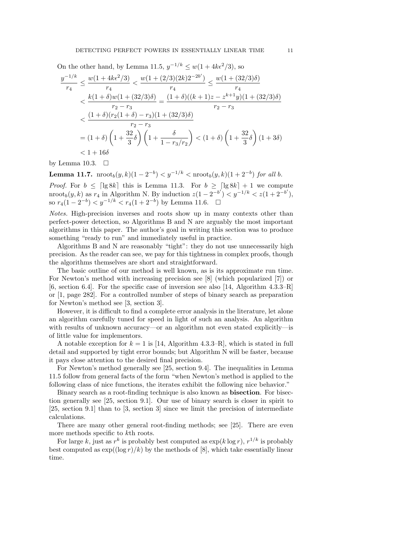On the other hand, by Lemma 11.5,  $y^{-1/k} \leq w(1+4k\epsilon^2/3)$ , so  $y^{-1/k}$  $\frac{-1/k}{r_4} \leq \frac{w(1+4k\epsilon^2/3)}{r_4}$  $\frac{4k\epsilon^2/3)}{r_4}<\frac{w(1+(2/3)(2k)2^{-2b'})}{r_4}$  $\frac{3(2k)2^{-2b'}}{r_4} \leq \frac{w(1+(32/3)\delta)}{r_4}$  $r_4$  $\langle \frac{k(1+\delta)w(1+(32/3)\delta)}{k(1+\delta)w(1+(32/3)\delta)} \rangle$  $\frac{w(1+(32/3)\delta)}{r_2-r_3} = \frac{(1+\delta)((k+1)z - z^{k+1}y)(1+(32/3)\delta)}{r_2-r_3}$  $r_2 - r_3$  $<\frac{(1+\delta)(r_2(1+\delta)-r_3)(1+(32/3)\delta)}{r_1(r_2+2\delta)}$  $r_2 - r_3$  $= (1 + \delta) \left( 1 + \frac{32}{8} \right)$  $\left(1+\frac{\delta}{1-r}\right)$  $1 - r_3/r_2$  $\left(1+\delta\right)\left(1+\frac{32}{2}\right)$  $\left(\frac{32}{3}\delta\right)(1+3\delta)$  $< 1 + 16\delta$ 

by Lemma 10.3.  $\Box$ 

**Lemma 11.7.**  $\text{nroot}_b(y,k)(1-2^{-b}) < y^{-1/k} < \text{nroot}_b(y,k)(1+2^{-b})$  for all b.

*Proof.* For  $b \leq \lfloor \lg 8k \rfloor$  this is Lemma 11.3. For  $b \geq \lfloor \lg 8k \rfloor + 1$  we compute nroot<sub>b</sub> $(y, k)$  as  $r_4$  in Algorithm N. By induction  $z(1 - 2^{-b'}) < y^{-1/k} < z(1 + 2^{-b'}),$ so  $r_4(1-2^{-b}) < y^{-1/k} < r_4(1+2^{-b})$  by Lemma 11.6. □

Notes. High-precision inverses and roots show up in many contexts other than perfect-power detection, so Algorithms B and N are arguably the most important algorithms in this paper. The author's goal in writing this section was to produce something "ready to run" and immediately useful in practice.

Algorithms B and N are reasonably "tight": they do not use unnecessarily high precision. As the reader can see, we pay for this tightness in complex proofs, though the algorithms themselves are short and straightforward.

The basic outline of our method is well known, as is its approximate run time. For Newton's method with increasing precision see [8] (which popularized [7]) or [6, section 6.4]. For the specific case of inversion see also [14, Algorithm 4.3.3–R] or [1, page 282]. For a controlled number of steps of binary search as preparation for Newton's method see [3, section 3].

However, it is difficult to find a complete error analysis in the literature, let alone an algorithm carefully tuned for speed in light of such an analysis. An algorithm with results of unknown accuracy—or an algorithm not even stated explicitly—is of little value for implementors.

A notable exception for  $k = 1$  is [14, Algorithm 4.3.3–R], which is stated in full detail and supported by tight error bounds; but Algorithm N will be faster, because it pays close attention to the desired final precision.

For Newton's method generally see [25, section 9.4]. The inequalities in Lemma 11.5 follow from general facts of the form "when Newton's method is applied to the following class of nice functions, the iterates exhibit the following nice behavior."

Binary search as a root-finding technique is also known as bisection. For bisection generally see [25, section 9.1]. Our use of binary search is closer in spirit to [25, section 9.1] than to [3, section 3] since we limit the precision of intermediate calculations.

There are many other general root-finding methods; see [25]. There are even more methods specific to kth roots.

For large k, just as  $r^k$  is probably best computed as  $\exp(k \log r)$ ,  $r^{1/k}$  is probably best computed as  $\exp((\log r)/k)$  by the methods of [8], which take essentially linear time.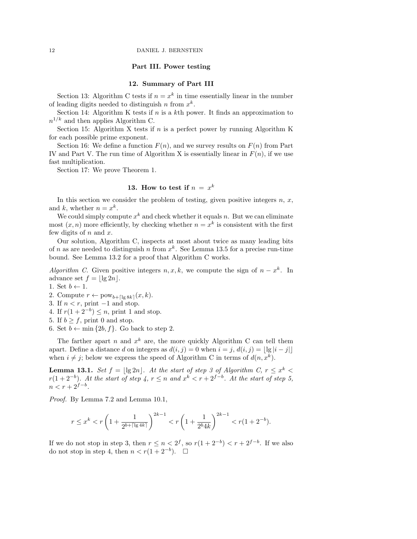# Part III. Power testing

# 12. Summary of Part III

Section 13: Algorithm C tests if  $n = x^k$  in time essentially linear in the number of leading digits needed to distinguish n from  $x^k$ .

Section 14: Algorithm K tests if  $n$  is a kth power. It finds an approximation to  $n^{1/k}$  and then applies Algorithm C.

Section 15: Algorithm X tests if  $n$  is a perfect power by running Algorithm K for each possible prime exponent.

Section 16: We define a function  $F(n)$ , and we survey results on  $F(n)$  from Part IV and Part V. The run time of Algorithm X is essentially linear in  $F(n)$ , if we use fast multiplication.

Section 17: We prove Theorem 1.

# 13. How to test if  $n = x^k$

In this section we consider the problem of testing, given positive integers  $n, x$ , and k, whether  $n = x^k$ .

We could simply compute  $x^k$  and check whether it equals n. But we can eliminate most  $(x, n)$  more efficiently, by checking whether  $n = x^k$  is consistent with the first few digits of  $n$  and  $x$ .

Our solution, Algorithm C, inspects at most about twice as many leading bits of n as are needed to distinguish n from  $x^k$ . See Lemma 13.5 for a precise run-time bound. See Lemma 13.2 for a proof that Algorithm C works.

Algorithm C. Given positive integers  $n, x, k$ , we compute the sign of  $n - x^k$ . In advance set  $f = \lfloor \lg 2n \rfloor$ .

1. Set  $b \leftarrow 1.$ 

2. Compute  $r \leftarrow \text{pow}_{b+\lceil \lg 8k \rceil}(x, k)$ .

- 3. If  $n < r$ , print  $-1$  and stop.
- 4. If  $r(1+2^{-b}) \leq n$ , print 1 and stop.
- 5. If  $b \geq f$ , print 0 and stop.
- 6. Set  $b \leftarrow \min\{2b, f\}$ . Go back to step 2.

The farther apart n and  $x^k$  are, the more quickly Algorithm C can tell them apart. Define a distance d on integers as  $d(i, j) = 0$  when  $i = j$ ,  $d(i, j) = ||g||i - j||$ when  $i \neq j$ ; below we express the speed of Algorithm C in terms of  $d(n, x^k)$ .

**Lemma 13.1.** Set  $f = |\lg 2n|$ . At the start of step 3 of Algorithm C,  $r \leq x^k$  $r(1+2^{-b})$ . At the start of step 4,  $r \leq n$  and  $x^{k} < r+2^{f-b}$ . At the start of step 5,  $n < r + 2^{f-b}.$ 

Proof. By Lemma 7.2 and Lemma 10.1,

$$
r \le x^k < r \left( 1 + \frac{1}{2^{b + \lceil \lg 4k \rceil}} \right)^{2k - 1} < r \left( 1 + \frac{1}{2^b 4k} \right)^{2k - 1} < r(1 + 2^{-b}).
$$

If we do not stop in step 3, then  $r \leq n < 2<sup>f</sup>$ , so  $r(1+2<sup>-b</sup>) < r+2<sup>f-b</sup>$ . If we also do not stop in step 4, then  $n < r(1+2^{-b})$ .  $\Box$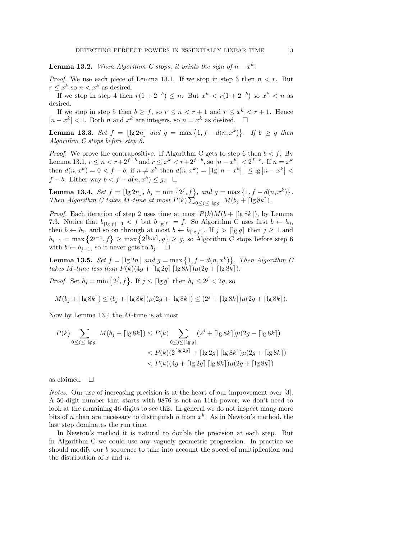**Lemma 13.2.** When Algorithm C stops, it prints the sign of  $n - x<sup>k</sup>$ .

*Proof.* We use each piece of Lemma 13.1. If we stop in step 3 then  $n < r$ . But  $r \leq x^k$  so  $n < x^k$  as desired.

If we stop in step 4 then  $r(1+2^{-b}) \leq n$ . But  $x^k < r(1+2^{-b})$  so  $x^k < n$  as desired.

If we stop in step 5 then  $b \geq f$ , so  $r \leq n < r+1$  and  $r \leq x^k < r+1$ . Hence  $|n - x^k| < 1$ . Both n and  $x^k$  are integers, so  $n = x^k$  as desired.  $\Box$ 

**Lemma 13.3.** Set  $f = |\lg 2n|$  and  $g = \max\{1, f - d(n, x^k)\}\$ . If  $b \ge g$  then Algorithm C stops before step 6.

*Proof.* We prove the contrapositive. If Algorithm C gets to step 6 then  $b < f$ . By Lemma 13.1,  $r \le n < r+2^{f-b}$  and  $r \le x^k < r+2^{f-b}$ , so  $\left|n-x^k\right| < 2^{f-b}$ . If  $n=x^k$ then  $d(n, x^k) = 0 < f - b$ ; if  $n \neq x^k$  then  $d(n, x^k) = \lfloor \lg |n - x^k| \rfloor \leq \lg |n - x^k| <$  $f - b$ . Either way  $b < f - d(n, x^k) \leq g$ .  $\Box$ 

**Lemma 13.4.** Set  $f = \lfloor \lg 2n \rfloor$ ,  $b_j = \min \{2^j, f\}$ , and  $g = \max \{1, f - d(n, x^k)\}$ . Then Algorithm C takes M-time at most  $P(k) \sum_{0 \leq j \leq \lceil \lg g \rceil} M(b_j + \lceil \lg 8k \rceil)$ .

*Proof.* Each iteration of step 2 uses time at most  $P(k)M(b + \lceil \lg 8k \rceil)$ , by Lemma 7.3. Notice that  $b_{\lceil \lg f \rceil - 1} < f$  but  $b_{\lceil \lg f \rceil} = f$ . So Algorithm C uses first  $b \leftarrow b_0$ , then  $b \leftarrow b_1$ , and so on through at most  $b \leftarrow b_{\lceil \lg f \rceil}$ . If  $j > \lceil \lg g \rceil$  then  $j \ge 1$  and  $b_{j-1} = \max\left\{2^{j-1},f\right\} \ge \max\left\{2^{\lceil \lg g \rceil},g\right\} \ge g$ , so Algorithm C stops before step 6 with  $b \leftarrow b_{i-1}$ , so it never gets to  $b_i$ .  $\Box$ 

**Lemma 13.5.** Set  $f = |\lg 2n|$  and  $g = \max\{1, f - d(n, x^k)\}\$ . Then Algorithm C takes M-time less than  $P(k)(4g + \lceil \lg 2g \rceil \lceil \lg 8k \rceil)\mu(2g + \lceil \lg 8k \rceil).$ 

*Proof.* Set  $b_j = \min\{2^j, f\}$ . If  $j \leq \lceil \lg g \rceil$  then  $b_j \leq 2^j < 2g$ , so

$$
M(b_j+\lceil\lg{8k}\rceil)\leq (b_j+\lceil\lg{8k}\rceil)\mu(2g+\lceil\lg{8k}\rceil)\leq (2^j+\lceil\lg{8k}\rceil)\mu(2g+\lceil\lg{8k}\rceil).
$$

Now by Lemma 13.4 the M-time is at most

$$
P(k) \sum_{0 \le j \le \lceil \lg g \rceil} M(b_j + \lceil \lg 8k \rceil) \le P(k) \sum_{0 \le j \le \lceil \lg g \rceil} (2^j + \lceil \lg 8k \rceil) \mu(2g + \lceil \lg 8k \rceil)
$$
  

$$
< P(k) (2^{\lceil \lg 2g \rceil} + \lceil \lg 2g \rceil \lceil \lg 8k \rceil) \mu(2g + \lceil \lg 8k \rceil)
$$
  

$$
< P(k) (4g + \lceil \lg 2g \rceil \lceil \lg 8k \rceil) \mu(2g + \lceil \lg 8k \rceil)
$$

as claimed.  $\square$ 

Notes. Our use of increasing precision is at the heart of our improvement over [3]. A 50-digit number that starts with 9876 is not an 11th power; we don't need to look at the remaining 46 digits to see this. In general we do not inspect many more bits of *n* than are necessary to distinguish *n* from  $x<sup>k</sup>$ . As in Newton's method, the last step dominates the run time.

In Newton's method it is natural to double the precision at each step. But in Algorithm C we could use any vaguely geometric progression. In practice we should modify our b sequence to take into account the speed of multiplication and the distribution of  $x$  and  $n$ .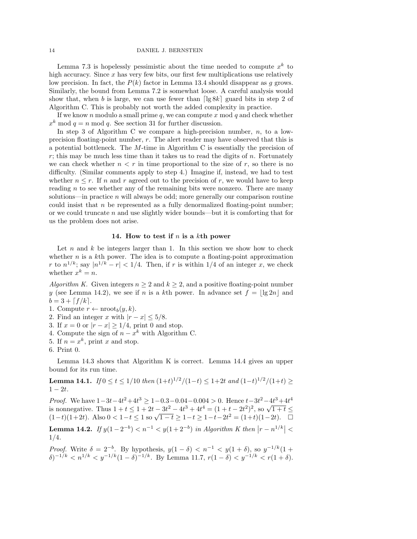Lemma 7.3 is hopelessly pessimistic about the time needed to compute  $x^k$  to high accuracy. Since x has very few bits, our first few multiplications use relatively low precision. In fact, the  $P(k)$  factor in Lemma 13.4 should disappear as g grows. Similarly, the bound from Lemma 7.2 is somewhat loose. A careful analysis would show that, when b is large, we can use fewer than  $\lceil \lg 8k \rceil$  guard bits in step 2 of Algorithm C. This is probably not worth the added complexity in practice.

If we know n modulo a small prime  $q$ , we can compute x mod  $q$  and check whether  $x<sup>k</sup>$  mod  $q = n$  mod q. See section 31 for further discussion.

In step 3 of Algorithm C we compare a high-precision number,  $n$ , to a lowprecision floating-point number, r. The alert reader may have observed that this is a potential bottleneck. The  $M$ -time in Algorithm C is essentially the precision of r; this may be much less time than it takes us to read the digits of  $n$ . Fortunately we can check whether  $n < r$  in time proportional to the size of r, so there is no difficulty. (Similar comments apply to step 4.) Imagine if, instead, we had to test whether  $n \leq r$ . If n and r agreed out to the precision of r, we would have to keep reading n to see whether any of the remaining bits were nonzero. There are many solutions—in practice  $n$  will always be odd; more generally our comparison routine could insist that  $n$  be represented as a fully denormalized floating-point number; or we could truncate  $n$  and use slightly wider bounds—but it is comforting that for us the problem does not arise.

### 14. How to test if  $n$  is a kth power

Let  $n$  and  $k$  be integers larger than 1. In this section we show how to check whether  $n$  is a kth power. The idea is to compute a floating-point approximation r to  $n^{1/k}$ ; say  $|n^{1/k} - r| < 1/4$ . Then, if r is within 1/4 of an integer x, we check whether  $x^k = n$ .

Algorithm K. Given integers  $n \geq 2$  and  $k \geq 2$ , and a positive floating-point number y (see Lemma 14.2), we see if n is a kth power. In advance set  $f = |\lg 2n|$  and  $b = 3 + \lceil f / k \rceil$ .

- 1. Compute  $r \leftarrow \text{nroot}_b(y, k)$ .
- 2. Find an integer x with  $|r x| \leq 5/8$ .
- 3. If  $x = 0$  or  $|r x| \geq 1/4$ , print 0 and stop.
- 4. Compute the sign of  $n x^k$  with Algorithm C.
- 5. If  $n = x^k$ , print x and stop.
- 6. Print 0.

Lemma 14.3 shows that Algorithm K is correct. Lemma 14.4 gives an upper bound for its run time.

**Lemma 14.1.** If  $0 \le t \le 1/10$  then  $(1+t)^{1/2}/(1-t) \le 1+2t$  and  $(1-t)^{1/2}/(1+t) \ge$  $1 - 2t$ .

*Proof.* We have  $1-3t-4t^2+4t^3 \ge 1-0.3-0.04-0.004 > 0$ . Hence  $t-3t^2-4t^3+4t^4$ *Proof.* We have  $1-3t-4t^2+4t^3 \ge 1-0.3-0.04-0.004 > 0$ . Hence  $t-3t-4t^3+4t^4$ <br>is nonnegative. Thus  $1 + t \le 1 + 2t - 3t^2 - 4t^3 + 4t^4 = (1 + t - 2t^2)^2$ , so  $\sqrt{1+t} \le (1-t)(1+2t)$ . Also  $0 < 1-t \le 1$  so  $\sqrt{1-t} \ge 1-t \ge 1-t-2t^2 = (1+t)(1-$ 

**Lemma 14.2.** If  $y(1-2^{-b}) < n^{-1} < y(1+2^{-b})$  in Algorithm K then  $|r - n^{1/k}| <$ 1/4.

*Proof.* Write  $\delta = 2^{-b}$ . By hypothesis,  $y(1 - \delta) < n^{-1} < y(1 + \delta)$ , so  $y^{-1/k}(1 + \delta)$  $\delta$ )<sup>-1/k</sup> <  $n^{1/k}$  <  $y^{-1/k}$ (1 –  $\delta$ )<sup>-1/k</sup>. By Lemma 11.7,  $r(1-\delta)$  <  $y^{-1/k}$  <  $r(1+\delta)$ .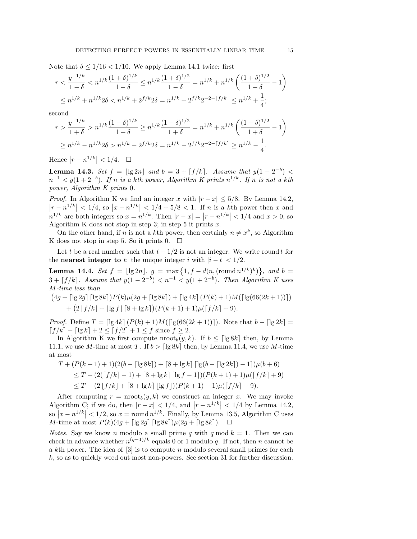Note that  $\delta \leq 1/16 < 1/10$ . We apply Lemma 14.1 twice: first

$$
r < \frac{y^{-1/k}}{1-\delta} < n^{1/k} \frac{(1+\delta)^{1/k}}{1-\delta} \le n^{1/k} \frac{(1+\delta)^{1/2}}{1-\delta} = n^{1/k} + n^{1/k} \left( \frac{(1+\delta)^{1/2}}{1-\delta} - 1 \right)
$$
\n
$$
\le n^{1/k} + n^{1/k} 2\delta < n^{1/k} + 2^{f/k} 2\delta = n^{1/k} + 2^{f/k} 2^{-2-[f/k]} \le n^{1/k} + \frac{1}{4};
$$

second

$$
r > \frac{y^{-1/k}}{1+\delta} > n^{1/k} \frac{(1-\delta)^{1/k}}{1+\delta} \ge n^{1/k} \frac{(1-\delta)^{1/2}}{1+\delta} = n^{1/k} + n^{1/k} \left( \frac{(1-\delta)^{1/2}}{1+\delta} - 1 \right)
$$
  

$$
\ge n^{1/k} - n^{1/k} 2\delta > n^{1/k} - 2^{f/k} 2\delta = n^{1/k} - 2^{f/k} 2^{-2 - \lfloor f/k \rfloor} \ge n^{1/k} - \frac{1}{4}.
$$

Hence  $|r - n^{1/k}| < 1/4$ .  $\Box$ 

**Lemma 14.3.** Set  $f = |\lg 2n|$  and  $b = 3 + \lfloor f/k \rfloor$ . Assume that  $y(1 - 2^{-b}) <$  $n^{-1} < y(1+2^{-b})$ . If n is a kth power, Algorithm K prints  $n^{1/k}$ . If n is not a kth power, Algorithm K prints 0.

*Proof.* In Algorithm K we find an integer x with  $|r - x| \leq 5/8$ . By Lemma 14.2,  $|r - n^{1/k}| < 1/4$ , so  $|x - n^{1/k}| < 1/4 + 5/8 < 1$ . If *n* is a kth power then *x* and  $n^{1/k}$  are both integers so  $x = n^{1/k}$ . Then  $|r - x| = |r - n^{1/k}| < 1/4$  and  $x > 0$ , so Algorithm K does not stop in step 3; in step 5 it prints  $x$ .

On the other hand, if *n* is not a *k*th power, then certainly  $n \neq x^k$ , so Algorithm K does not stop in step 5. So it prints  $0. \square$ 

Let t be a real number such that  $t - 1/2$  is not an integer. We write round t for the **nearest integer to** t: the unique integer i with  $|i - t| < 1/2$ .

**Lemma 14.4.** Set  $f = \lfloor \lg 2n \rfloor$ ,  $g = \max \{1, f - d(n, (\text{round } n^{1/k})^k)\},$  and  $b =$  $3 + \lceil f/k \rceil$ . Assume that  $y(1 - 2^{-b}) < n^{-1} < y(1 + 2^{-b})$ . Then Algorithm K uses M-time less than

$$
(4g + \lceil \lg 2g \rceil \lceil \lg 8k \rceil) P(k) \mu(2g + \lceil \lg 8k \rceil) + \lceil \lg 4k \rceil (P(k) + 1) M(\lceil \lg(66(2k+1)) \rceil)
$$
  
+ 
$$
(2 \lfloor f/k \rfloor + \lfloor \lg f \rfloor \lceil 8 + \lg k \rceil) (P(k+1) + 1) \mu(\lceil f/k \rceil + 9).
$$

*Proof.* Define  $T = \left[\lg 4k \right] (P(k) + 1) M(\left[\lg(66(2k+1))\right])$ . Note that  $b - \left[\lg 2k\right] =$  $\lceil f/k \rceil - \lceil \lg k \rceil + 2 < \lceil f/2 \rceil + 1 < f$  since  $f \geq 2$ .

In Algorithm K we first compute  $\text{nroot}_b(y, k)$ . If  $b \leq \lceil \lg 8k \rceil$  then, by Lemma 11.1, we use M-time at most T. If  $b > \lceil \lg 8k \rceil$  then, by Lemma 11.4, we use M-time at most

$$
T + (P(k+1) + 1)(2(b - \lceil \lg 8k \rceil) + \lceil 8 + \lg k \rceil \lceil \lg(b - \lceil \lg 2k \rceil) - 1 \rceil) \mu(b+6)
$$
  
\n
$$
\leq T + (2(\lceil f/k \rceil - 1) + \lceil 8 + \lg k \rceil \lceil \lg f - 1 \rceil) (P(k+1) + 1) \mu(\lceil f/k \rceil + 9)
$$
  
\n
$$
\leq T + (2\lfloor f/k \rfloor + \lceil 8 + \lg k \rceil \lfloor \lg f \rfloor) (P(k+1) + 1) \mu(\lceil f/k \rceil + 9).
$$

After computing  $r = \text{proof}_b(y, k)$  we construct an integer x. We may invoke Algorithm C; if we do, then  $|r - x| < 1/4$ , and  $|r - n^{1/k}| < 1/4$  by Lemma 14.2, so  $|x - n^{1/k}| < 1/2$ , so  $x = \text{round } n^{1/k}$ . Finally, by Lemma 13.5, Algorithm C uses M-time at most  $P(k)(4g + \lceil \lg 2g \rceil \lceil \lg 8k \rceil)\mu(2g + \lceil \lg 8k \rceil)$ .  $\Box$ 

*Notes.* Say we know *n* modulo a small prime q with q mod  $k = 1$ . Then we can check in advance whether  $n^{(q-1)/k}$  equals 0 or 1 modulo q. If not, then n cannot be a kth power. The idea of  $[3]$  is to compute n modulo several small primes for each k, so as to quickly weed out most non-powers. See section 31 for further discussion.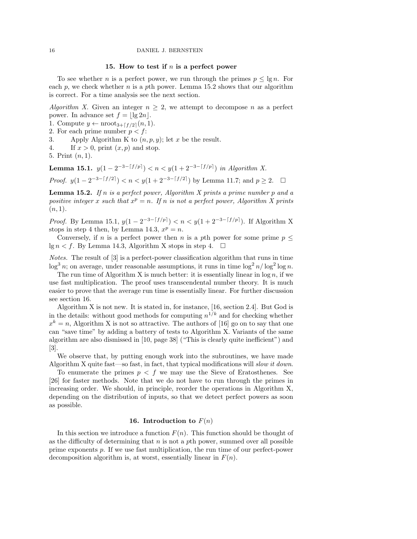### 15. How to test if  $n$  is a perfect power

To see whether *n* is a perfect power, we run through the primes  $p \leq \lg n$ . For each  $p$ , we check whether n is a pth power. Lemma 15.2 shows that our algorithm is correct. For a time analysis see the next section.

Algorithm X. Given an integer  $n \geq 2$ , we attempt to decompose n as a perfect power. In advance set  $f = |\lg 2n|$ .

- 1. Compute  $y \leftarrow \text{nroot}_{3+\lceil f/2 \rceil}(n, 1)$ .
- 2. For each prime number  $p < f$ :
- 3. Apply Algorithm K to  $(n, p, y)$ ; let x be the result.
- 4. If  $x > 0$ , print  $(x, p)$  and stop.

5. Print  $(n, 1)$ .

**Lemma 15.1.**  $y(1 - 2^{-3 - \lceil f/p \rceil}) < n < y(1 + 2^{-3 - \lceil f/p \rceil})$  in Algorithm X.

*Proof.*  $y(1-2^{-3-[f/2]}) < n < y(1+2^{-3-[f/2]})$  by Lemma 11.7; and  $p \ge 2$ . □

**Lemma 15.2.** If n is a perfect power, Algorithm X prints a prime number  $p$  and a positive integer x such that  $x^p = n$ . If n is not a perfect power, Algorithm X prints  $(n, 1).$ 

*Proof.* By Lemma 15.1,  $y(1 - 2^{-3 - \lceil f/p \rceil}) < n < y(1 + 2^{-3 - \lceil f/p \rceil})$ . If Algorithm X stops in step 4 then, by Lemma 14.3,  $x^p = n$ .

Conversely, if n is a perfect power then n is a pth power for some prime  $p \leq$  $\lg n < f$ . By Lemma 14.3, Algorithm X stops in step 4.  $\Box$ 

Notes. The result of [3] is a perfect-power classification algorithm that runs in time  $\log^3 n$ ; on average, under reasonable assumptions, it runs in time  $\log^2 n / \log^2 \log n$ .

The run time of Algorithm X is much better: it is essentially linear in  $\log n$ , if we use fast multiplication. The proof uses transcendental number theory. It is much easier to prove that the average run time is essentially linear. For further discussion see section 16.

Algorithm X is not new. It is stated in, for instance, [16, section 2.4]. But God is in the details: without good methods for computing  $n^{1/k}$  and for checking whether  $x^k = n$ , Algorithm X is not so attractive. The authors of [16] go on to say that one can "save time" by adding a battery of tests to Algorithm X. Variants of the same algorithm are also dismissed in [10, page 38] ("This is clearly quite inefficient") and [3].

We observe that, by putting enough work into the subroutines, we have made Algorithm X quite fast—so fast, in fact, that typical modifications will slow it down.

To enumerate the primes  $p \leq f$  we may use the Sieve of Eratosthenes. See [26] for faster methods. Note that we do not have to run through the primes in increasing order. We should, in principle, reorder the operations in Algorithm X, depending on the distribution of inputs, so that we detect perfect powers as soon as possible.

# 16. Introduction to  $F(n)$

In this section we introduce a function  $F(n)$ . This function should be thought of as the difficulty of determining that  $n$  is not a pth power, summed over all possible prime exponents p. If we use fast multiplication, the run time of our perfect-power decomposition algorithm is, at worst, essentially linear in  $F(n)$ .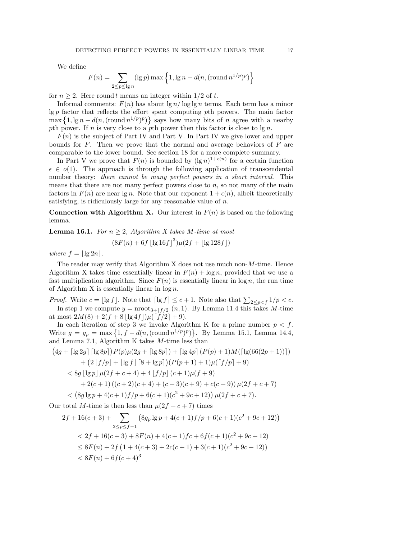We define

$$
F(n) = \sum_{2 \le p \le \lg n} (\lg p) \max \left\{ 1, \lg n - d(n, (\text{round } n^{1/p})^p) \right\}
$$

for  $n \geq 2$ . Here round t means an integer within 1/2 of t.

Informal comments:  $F(n)$  has about  $\lg n / \log \lg n$  terms. Each term has a minor  $\lg p$  factor that reflects the effort spent computing pth powers. The main factor  $\max\left\{1, \lg n - d(n, (\text{round }n^{1/p})^p)\right\}$  says how many bits of n agree with a nearby pth power. If n is very close to a pth power then this factor is close to  $\lg n$ .

 $F(n)$  is the subject of Part IV and Part V. In Part IV we give lower and upper bounds for  $F$ . Then we prove that the normal and average behaviors of  $F$  are comparable to the lower bound. See section 18 for a more complete summary.

In Part V we prove that  $F(n)$  is bounded by  $(\lg n)^{1+\epsilon(n)}$  for a certain function  $\epsilon \in o(1)$ . The approach is through the following application of transcendental number theory: there cannot be many perfect powers in a short interval. This means that there are not many perfect powers close to  $n$ , so not many of the main factors in  $F(n)$  are near  $\lg n$ . Note that our exponent  $1 + \epsilon(n)$ , albeit theoretically satisfying, is ridiculously large for any reasonable value of  $n$ .

**Connection with Algorithm X.** Our interest in  $F(n)$  is based on the following lemma.

**Lemma 16.1.** For  $n \geq 2$ , Algorithm X takes M-time at most

$$
(8F(n) + 6f \lfloor \lg 16f \rfloor^{3})\mu(2f + \lfloor \lg 128f \rfloor)
$$

where  $f = \lfloor \lg 2n \rfloor$ .

The reader may verify that Algorithm X does not use much non- $M$ -time. Hence Algorithm X takes time essentially linear in  $F(n) + \log n$ , provided that we use a fast multiplication algorithm. Since  $F(n)$  is essentially linear in log n, the run time of Algorithm X is essentially linear in  $log n$ .

*Proof.* Write  $c = \lfloor \lg f \rfloor$ . Note that  $\lceil \lg f \rceil \leq c + 1$ . Note also that  $\sum_{2 \leq p < f} 1/p < c$ . In step 1 we compute  $y = \text{proof}_{3+[f/2]}(n, 1)$ . By Lemma 11.4 this takes M-time at most  $2M(8) + 2(f + 8 \lfloor \lg 4f \rfloor) \mu([f / 2] + 9).$ 

In each iteration of step 3 we invoke Algorithm K for a prime number  $p < f$ . Write  $g = g_p = \max\{1, f - d(n, (\text{round } n^{1/p})^p)\}\.$  By Lemma 15.1, Lemma 14.4, and Lemma 7.1, Algorithm K takes M-time less than

$$
(4g + \lceil \lg 2g \rceil \lceil \lg 8p \rceil) P(p)\mu(2g + \lceil \lg 8p \rceil) + \lceil \lg 4p \rceil (P(p) + 1)M(\lceil \lg(66(2p+1)) \rceil) + (2 \lfloor f/p \rfloor + \lfloor \lg f \rfloor [8 + \lg p])(P(p+1) + 1)\mu(\lceil f/p \rceil + 9) < 8g \lfloor \lg p \rfloor \mu(2f + c + 4) + 4 \lfloor f/p \rfloor (c + 1)\mu(f + 9) + 2(c + 1) ((c + 2)(c + 4) + (c + 3)(c + 9) + c(c + 9)) \mu(2f + c + 7) < 8g \lg p + 4(c + 1)f/p + 6(c + 1)(c^2 + 9c + 12)) \mu(2f + c + 7).
$$

Our total M-time is then less than  $\mu(2f+c+7)$  times

$$
2f + 16(c+3) + \sum_{2 \le p \le f-1} (8g_p \lg p + 4(c+1)f/p + 6(c+1)(c^2 + 9c + 12))
$$
  

$$
< 2f + 16(c+3) + 8F(n) + 4(c+1)fc + 6f(c+1)(c^2 + 9c + 12)
$$
  

$$
\le 8F(n) + 2f(1 + 4(c+3) + 2c(c+1) + 3(c+1)(c^2 + 9c + 12))
$$
  

$$
< 8F(n) + 6f(c+4)^3
$$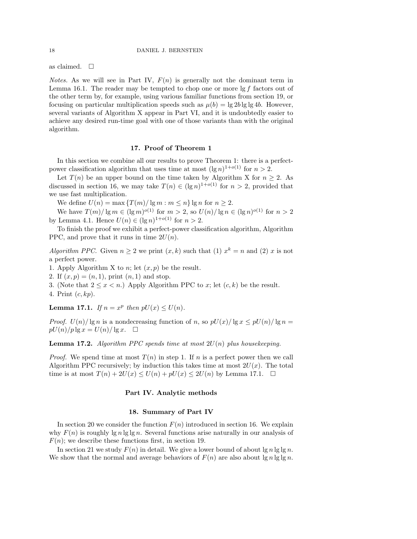as claimed.  $\square$ 

*Notes.* As we will see in Part IV,  $F(n)$  is generally not the dominant term in Lemma 16.1. The reader may be tempted to chop one or more  $\lg f$  factors out of the other term by, for example, using various familiar functions from section 19, or focusing on particular multiplication speeds such as  $\mu(b) = \lg 2b \lg \lg 4b$ . However, several variants of Algorithm X appear in Part VI, and it is undoubtedly easier to achieve any desired run-time goal with one of those variants than with the original algorithm.

# 17. Proof of Theorem 1

In this section we combine all our results to prove Theorem 1: there is a perfectpower classification algorithm that uses time at most  $(\lg n)^{1+o(1)}$  for  $n > 2$ .

Let  $T(n)$  be an upper bound on the time taken by Algorithm X for  $n \geq 2$ . As discussed in section 16, we may take  $T(n) \in (\lg n)^{1+o(1)}$  for  $n > 2$ , provided that we use fast multiplication.

We define  $U(n) = \max \{T(m)/\lg m : m \leq n\} \lg n$  for  $n \geq 2$ .

We have  $T(m)/\lg m \in (\lg m)^{o(1)}$  for  $m > 2$ , so  $U(n)/\lg n \in (\lg n)^{o(1)}$  for  $n > 2$ by Lemma 4.1. Hence  $U(n) \in (\lg n)^{1+o(1)}$  for  $n > 2$ .

To finish the proof we exhibit a perfect-power classification algorithm, Algorithm PPC, and prove that it runs in time  $2U(n)$ .

Algorithm PPC. Given  $n \geq 2$  we print  $(x, k)$  such that (1)  $x^k = n$  and (2) x is not a perfect power.

1. Apply Algorithm X to n; let  $(x, p)$  be the result.

2. If  $(x, p) = (n, 1)$ , print  $(n, 1)$  and stop.

3. (Note that  $2 \leq x \leq n$ .) Apply Algorithm PPC to x; let  $(c, k)$  be the result.

4. Print  $(c, kp)$ .

**Lemma 17.1.** If  $n = x^p$  then  $pU(x) \leq U(n)$ .

*Proof.*  $U(n)/\lg n$  is a nondecreasing function of n, so  $pU(x)/\lg x \leq pU(n)/\lg n =$  $pU(n)/p \lg x = U(n)/\lg x$ .  $\Box$ 

**Lemma 17.2.** Algorithm PPC spends time at most  $2U(n)$  plus housekeeping.

*Proof.* We spend time at most  $T(n)$  in step 1. If n is a perfect power then we call Algorithm PPC recursively; by induction this takes time at most  $2U(x)$ . The total time is at most  $T(n) + 2U(x) \le U(n) + pU(x) \le 2U(n)$  by Lemma 17.1.  $\Box$ 

#### Part IV. Analytic methods

#### 18. Summary of Part IV

In section 20 we consider the function  $F(n)$  introduced in section 16. We explain why  $F(n)$  is roughly lg n lg lg n. Several functions arise naturally in our analysis of  $F(n)$ ; we describe these functions first, in section 19.

In section 21 we study  $F(n)$  in detail. We give a lower bound of about  $\lg n \lg \lg n$ . We show that the normal and average behaviors of  $F(n)$  are also about  $\lg n \lg \lg n$ .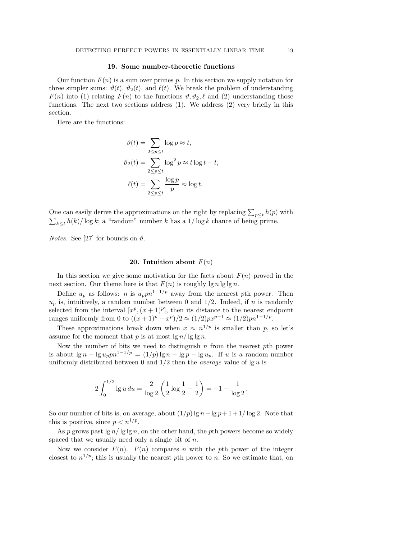### 19. Some number-theoretic functions

Our function  $F(n)$  is a sum over primes p. In this section we supply notation for three simpler sums:  $\vartheta(t)$ ,  $\vartheta_2(t)$ , and  $\ell(t)$ . We break the problem of understanding  $F(n)$  into (1) relating  $F(n)$  to the functions  $\vartheta$ ,  $\vartheta$ <sub>2</sub>,  $\ell$  and (2) understanding those functions. The next two sections address (1). We address (2) very briefly in this section.

Here are the functions:

$$
\vartheta(t) = \sum_{2 \le p \le t} \log p \approx t,
$$
  

$$
\vartheta_2(t) = \sum_{2 \le p \le t} \log^2 p \approx t \log t - t,
$$
  

$$
\ell(t) = \sum_{2 \le p \le t} \frac{\log p}{p} \approx \log t.
$$

One can easily derive the approximations on the right by replacing  $\sum_{p\leq t} h(p)$  with  $\sum_{k\leq t} h(k)/\log k$ ; a "random" number k has a  $1/\log k$  chance of being prime.

*Notes.* See [27] for bounds on  $\vartheta$ .

#### 20. Intuition about  $F(n)$

In this section we give some motivation for the facts about  $F(n)$  proved in the next section. Our theme here is that  $F(n)$  is roughly  $\lg n \lg \lg n$ .

Define  $u_p$  as follows: n is  $u_p p n^{1-1/p}$  away from the nearest pth power. Then  $u_p$  is, intuitively, a random number between 0 and 1/2. Indeed, if n is randomly selected from the interval  $[x^p,(x+1)^p]$ , then its distance to the nearest endpoint ranges uniformly from 0 to  $((x+1)^p - x^p)/2 \approx (1/2)px^{p-1} \approx (1/2)pn^{1-1/p}$ .

These approximations break down when  $x \approx n^{1/p}$  is smaller than p, so let's assume for the moment that p is at most  $\lg n / \lg \lg n$ .

Now the number of bits we need to distinguish  $n$  from the nearest  $p$ th power is about  $\lg n - \lg u_n p n^{1-1/p} = (1/p) \lg n - \lg p - \lg u_n$ . If u is a random number uniformly distributed between 0 and  $1/2$  then the *average* value of  $\lg u$  is

$$
2\int_0^{1/2} \lg u \, du = \frac{2}{\log 2} \left( \frac{1}{2} \log \frac{1}{2} - \frac{1}{2} \right) = -1 - \frac{1}{\log 2}.
$$

So our number of bits is, on average, about  $(1/p)$  lg  $n - \lg p + 1 + 1/\log 2$ . Note that this is positive, since  $p < n^{1/p}$ .

As p grows past  $\lg n / \lg \lg n$ , on the other hand, the pth powers become so widely spaced that we usually need only a single bit of  $n$ .

Now we consider  $F(n)$ .  $F(n)$  compares n with the pth power of the integer closest to  $n^{1/p}$ ; this is usually the nearest pth power to n. So we estimate that, on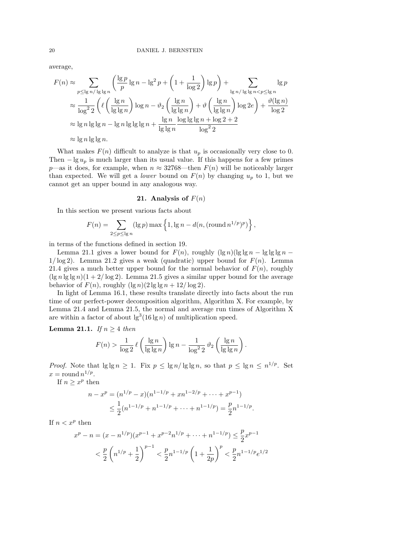average,

$$
F(n) \approx \sum_{p \leq \lg n / \lg \lg n} \left( \frac{\lg p}{p} \lg n - \lg^2 p + \left( 1 + \frac{1}{\log 2} \right) \lg p \right) + \sum_{\lg n / \lg \lg n < p \leq \lg n} \lg p
$$
\n
$$
\approx \frac{1}{\log^2 2} \left( \ell \left( \frac{\lg n}{\lg \lg n} \right) \log n - \vartheta_2 \left( \frac{\lg n}{\lg \lg n} \right) + \vartheta \left( \frac{\lg n}{\lg \lg n} \right) \log 2e \right) + \frac{\vartheta(\lg n)}{\log 2}
$$
\n
$$
\approx \lg n \lg \lg n - \lg n \lg \lg \lg n + \frac{\lg n}{\lg \lg n} \frac{\log \lg \lg n + \log 2 + 2}{\log^2 2}
$$
\n
$$
\approx \lg n \lg \lg n.
$$

What makes  $F(n)$  difficult to analyze is that  $u_p$  is occasionally very close to 0. Then  $-\lg u_p$  is much larger than its usual value. If this happens for a few primes p—as it does, for example, when  $n \approx 32768$ —then  $F(n)$  will be noticeably larger than expected. We will get a *lower* bound on  $F(n)$  by changing  $u_p$  to 1, but we cannot get an upper bound in any analogous way.

### 21. Analysis of  $F(n)$

In this section we present various facts about

$$
F(n) = \sum_{2 \le p \le \lg n} (\lg p) \max \left\{ 1, \lg n - d(n, (\text{round } n^{1/p})^p) \right\},\,
$$

in terms of the functions defined in section 19.

Lemma 21.1 gives a lower bound for  $F(n)$ , roughly  $(\lg n)(\lg \lg n - \lg \lg \lg n - \lg \lg \lg n)$  $1/\log 2$ . Lemma 21.2 gives a weak (quadratic) upper bound for  $F(n)$ . Lemma 21.4 gives a much better upper bound for the normal behavior of  $F(n)$ , roughly  $(\lg n \lg \lg n)(1 + 2/\log 2)$ . Lemma 21.5 gives a similar upper bound for the average behavior of  $F(n)$ , roughly  $(\lg n)(2 \lg \lg n + 12/\log 2)$ .

In light of Lemma 16.1, these results translate directly into facts about the run time of our perfect-power decomposition algorithm, Algorithm X. For example, by Lemma 21.4 and Lemma 21.5, the normal and average run times of Algorithm X are within a factor of about  $\lg^3(16 \lg n)$  of multiplication speed.

Lemma 21.1. If  $n \geq 4$  then

$$
F(n) > \frac{1}{\log 2} \ell\left(\frac{\lg n}{\lg \lg n}\right) \lg n - \frac{1}{\log^2 2} \vartheta_2\left(\frac{\lg n}{\lg \lg n}\right).
$$

*Proof.* Note that  $\lg \lg n \geq 1$ . Fix  $p \leq \lg n / \lg \lg n$ , so that  $p \leq \lg n \leq n^{1/p}$ . Set  $x = \text{round } n^{1/p}.$ 

If  $n \geq x^p$  then

 $\boldsymbol{n}$ 

$$
-x^{p} = (n^{1/p} - x)(n^{1-1/p} + xn^{1-2/p} + \dots + x^{p-1})
$$
  

$$
\leq \frac{1}{2}(n^{1-1/p} + n^{1-1/p} + \dots + n^{1-1/p}) = \frac{p}{2}n^{1-1/p}
$$

.

If  $n < x^p$  then

$$
x^{p} - n = (x - n^{1/p})(x^{p-1} + x^{p-2}n^{1/p} + \dots + n^{1-1/p}) \le \frac{p}{2}x^{p-1}
$$
  

$$
< \frac{p}{2} \left( n^{1/p} + \frac{1}{2} \right)^{p-1} < \frac{p}{2}n^{1-1/p} \left( 1 + \frac{1}{2p} \right)^{p} < \frac{p}{2}n^{1-1/p}e^{1/2}
$$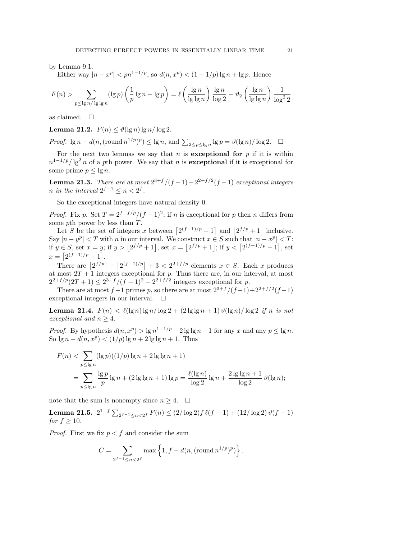by Lemma 9.1.

Either way  $|n-x^p| < p n^{1-1/p}$ , so  $d(n, x^p) < (1-1/p) \lg n + \lg p$ . Hence

$$
F(n) > \sum_{p \leq \lg n / \lg \lg n} (\lg p) \left( \frac{1}{p} \lg n - \lg p \right) = \ell \left( \frac{\lg n}{\lg \lg n} \right) \frac{\lg n}{\log 2} - \vartheta_2 \left( \frac{\lg n}{\lg \lg n} \right) \frac{1}{\log^2 2}
$$

as claimed.  $\square$ 

Lemma 21.2.  $F(n) < \vartheta(\lg n) \lg n / \log 2$ .

*Proof.*  $\lg n - d(n, (\text{round } n^{1/p})^p) \leq \lg n$ , and  $\sum_{2 \leq p \leq \lg n} \lg p = \vartheta(\lg n) / \log 2$ .  $\Box$ 

For the next two lemmas we say that n is exceptional for  $p$  if it is within  $n^{1-1/p}/\lg^2 n$  of a pth power. We say that n is **exceptional** if it is exceptional for some prime  $p \leq \lg n$ .

**Lemma 21.3.** There are at most  $2^{3+f}/(f-1)+2^{2+f/2}(f-1)$  exceptional integers *n* in the interval  $2^{f-1} \leq n < 2^f$ .

So the exceptional integers have natural density 0.

*Proof.* Fix p. Set  $T = 2^{f-f/p}/(f-1)^2$ ; if n is exceptional for p then n differs from some pth power by less than T.

Let S be the set of integers x between  $\lceil 2^{(f-1)/p} - 1 \rceil$  and  $\lceil 2^{f/p} + 1 \rceil$  inclusive. Say  $|n-y^p| < T$  with n in our interval. We construct  $x \in S$  such that  $|n-x^p| < T$ : if  $y \in S$ , set  $x = y$ ; if  $y > |2^{f/p} + 1|$ , set  $x = |2^{f/p} + 1|$ ; if  $y < [2^{(f-1)/p} - 1]$ , set  $x = \left[2^{(f-1)/p} - 1\right].$ 

There are  $\left|2^{f/p}\right| - \left[2^{(f-1)/p}\right] + 3 < 2^{2+f/p}$  elements  $x \in S$ . Each x produces at most  $2T + 1$  integers exceptional for p. Thus there are, in our interval, at most  $2^{2+f/p}(2T+1) \leq 2^{3+f}/(f-1)^2 + 2^{2+f/2}$  integers exceptional for p.

There are at most  $f-1$  primes p, so there are at most  $2^{3+f}/(f-1)+2^{2+f/2}(f-1)$ exceptional integers in our interval.  $\square$ 

**Lemma 21.4.**  $F(n) < l(\lg n) \lg n / \log 2 + (2 \lg \lg n + 1) \vartheta(\lg n) / \log 2$  if n is not exceptional and  $n \geq 4$ .

*Proof.* By hypothesis  $d(n, x^p) > \lg n^{1-1/p} - 2 \lg \lg n - 1$  for any x and any  $p \le \lg n$ . So  $\lg n - d(n, x^p) < (1/p) \lg n + 2 \lg \lg n + 1$ . Thus

$$
F(n) < \sum_{p \leq \lg n} (\lg p)((1/p) \lg n + 2 \lg \lg n + 1)
$$
  
= 
$$
\sum_{p \leq \lg n} \frac{\lg p}{p} \lg n + (2 \lg \lg n + 1) \lg p = \frac{\ell(\lg n)}{\log 2} \lg n + \frac{2 \lg \lg n + 1}{\log 2} \vartheta(\lg n);
$$

note that the sum is nonempty since  $n \geq 4$ .  $\Box$ 

Lemma 21.5.  $2^{1-f} \sum_{2f^{-1} \le n < 2f} F(n) \le (2/\log 2)f \ell(f-1) + (12/\log 2) \vartheta(f-1)$ for  $f > 10$ .

*Proof.* First we fix  $p < f$  and consider the sum

$$
C = \sum_{2^{f-1} \le n < 2^f} \max \left\{ 1, f - d(n, (\text{round } n^{1/p})^p) \right\}.
$$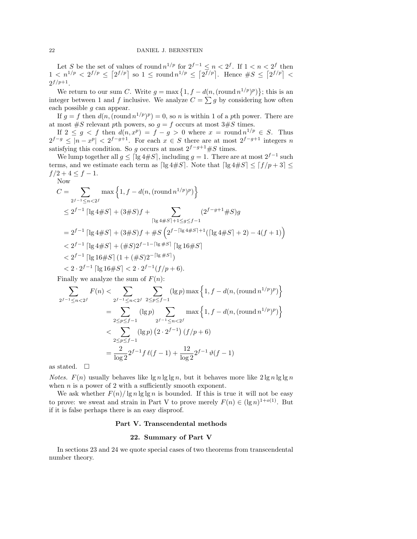Let S be the set of values of round  $n^{1/p}$  for  $2^{f-1} \leq n < 2^f$ . If  $1 < n < 2^f$  then  $1 < n^{1/p} < 2^{f/p} \leq [2^{f/p}]$  so  $1 \leq$  round  $n^{1/p} \leq [2^{f/p}]$ . Hence  $\#S \leq [2^{f/p}] <$  $2^{f/p+1}.$ 

We return to our sum C. Write  $g = \max\{1, f - d(n, (\text{round } n^{1/p})^p)\};$  this is an integer between 1 and f inclusive. We analyze  $C = \sum g$  by considering how often each possible g can appear.

If  $g = f$  then  $d(n, (\text{round } n^{1/p})^p) = 0$ , so n is within 1 of a pth power. There are at most  $\#S$  relevant pth powers, so  $g = f$  occurs at most  $3\#S$  times.

If  $2 \leq g \leq f$  then  $d(n, x^p) = f - g > 0$  where  $x = \text{round } n^{1/p} \in S$ . Thus  $2^{f-g} \leq |n-x^p| < 2^{f-g+1}$ . For each  $x \in S$  there are at most  $2^{f-g+1}$  integers n satisfying this condition. So g occurs at most  $2^{f-g+1}$ #S times.

We lump together all  $g \leq \lceil \lg 4 \# S \rceil$ , including  $g = 1$ . There are at most  $2^{f-1}$  such terms, and we estimate each term as [lg 4#S]. Note that  $\lceil \lg 4 \# S \rceil \leq \lceil f/p + 3 \rceil \leq$  $f/2 + 4 \le f - 1.$ 

Now

$$
C = \sum_{2^{f-1} \le n < 2^f} \max\left\{1, f - d(n, (\text{round } n^{1/p})^p)\right\}
$$
\n
$$
\le 2^{f-1} \left[\lg 4\#S\right] + (3\#S)f + \sum_{\lceil \lg 4\#S \rceil + 1 \le g \le f-1} (2^{f-g+1}\#S)g
$$
\n
$$
= 2^{f-1} \left[\lg 4\#S\right] + (3\#S)f + \#S\left(2^{f-\lceil \lg 4\#S \rceil + 1}(\lceil \lg 4\#S \rceil + 2) - 4(f+1)\right)
$$
\n
$$
< 2^{f-1} \left[\lg 4\#S\right] + (\#S)2^{f-1-\lceil \lg \#S \rceil} \left[\lg 16\#S\right]
$$
\n
$$
< 2^{f-1} \left[\lg 16\#S\right] (1 + (\#S)2^{-\lceil \lg \#S \rceil})
$$
\n
$$
< 2 \cdot 2^{f-1} \left[\lg 16\#S\right] < 2 \cdot 2^{f-1}(f/p+6).
$$

Finally we analyze the sum of  $F(n)$ :

$$
\sum_{2^{f-1} \le n < 2^f} F(n) < \sum_{2^{f-1} \le n < 2^f} \sum_{2 \le p \le f-1} (\lg p) \max \left\{ 1, f - d(n, (\text{round } n^{1/p})^p) \right\}
$$
\n
$$
= \sum_{2 \le p \le f-1} (\lg p) \sum_{2^{f-1} \le n < 2^f} \max \left\{ 1, f - d(n, (\text{round } n^{1/p})^p) \right\}
$$
\n
$$
\le \sum_{2 \le p \le f-1} (\lg p) \left( 2 \cdot 2^{f-1} \right) (f/p+6)
$$
\n
$$
= \frac{2}{\log 2} 2^{f-1} f \ell(f-1) + \frac{12}{\log 2} 2^{f-1} \vartheta(f-1)
$$

as stated.  $\square$ 

*Notes.*  $F(n)$  usually behaves like  $\lg n \lg \lg n$ , but it behaves more like  $2 \lg n \lg \lg n$ when  $n$  is a power of 2 with a sufficiently smooth exponent.

We ask whether  $F(n)/\lg n \lg \lg n$  is bounded. If this is true it will not be easy to prove: we sweat and strain in Part V to prove merely  $F(n) \in (\lg n)^{1+o(1)}$ . But if it is false perhaps there is an easy disproof.

#### Part V. Transcendental methods

# 22. Summary of Part V

In sections 23 and 24 we quote special cases of two theorems from transcendental number theory.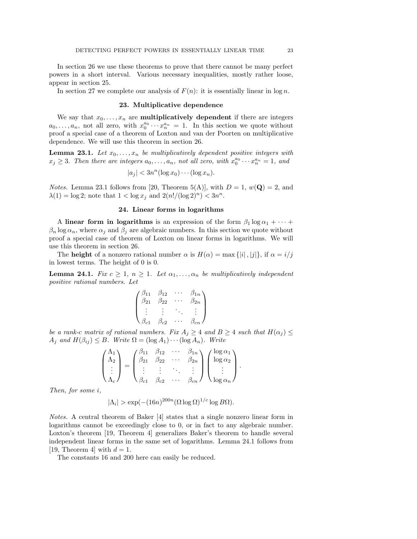In section 26 we use these theorems to prove that there cannot be many perfect powers in a short interval. Various necessary inequalities, mostly rather loose, appear in section 25.

In section 27 we complete our analysis of  $F(n)$ : it is essentially linear in log n.

### 23. Multiplicative dependence

We say that  $x_0, \ldots, x_n$  are **multiplicatively dependent** if there are integers  $a_0, \ldots, a_n$ , not all zero, with  $x_0^{a_0} \cdots x_n^{a_n} = 1$ . In this section we quote without proof a special case of a theorem of Loxton and van der Poorten on multiplicative dependence. We will use this theorem in section 26.

**Lemma 23.1.** Let  $x_0, \ldots, x_n$  be multiplicatively dependent positive integers with  $x_j \geq 3$ . Then there are integers  $a_0, \ldots, a_n$ , not all zero, with  $x_0^{a_0} \cdots x_n^{a_n} = 1$ , and

$$
|a_j| < 3n^n(\log x_0) \cdots (\log x_n).
$$

*Notes.* Lemma 23.1 follows from [20, Theorem 5(A)], with  $D = 1$ ,  $w(\mathbf{Q}) = 2$ , and  $\lambda(1) = \log 2$ ; note that  $1 < \log x_j$  and  $2(n!/(\log 2)^n) < 3n^n$ .

# 24. Linear forms in logarithms

A linear form in logarithms is an expression of the form  $\beta_1 \log \alpha_1 + \cdots$  $\beta_n \log \alpha_n$ , where  $\alpha_j$  and  $\beta_j$  are algebraic numbers. In this section we quote without proof a special case of theorem of Loxton on linear forms in logarithms. We will use this theorem in section 26.

The **height** of a nonzero rational number  $\alpha$  is  $H(\alpha) = \max\{|i|, |j|\}$ , if  $\alpha = i/j$ in lowest terms. The height of 0 is 0.

**Lemma 24.1.** Fix  $c \geq 1$ ,  $n \geq 1$ . Let  $\alpha_1, \ldots, \alpha_n$  be multiplicatively independent positive rational numbers. Let

$$
\begin{pmatrix}\n\beta_{11} & \beta_{12} & \cdots & \beta_{1n} \\
\beta_{21} & \beta_{22} & \cdots & \beta_{2n} \\
\vdots & \vdots & \ddots & \vdots \\
\beta_{c1} & \beta_{c2} & \cdots & \beta_{cn}\n\end{pmatrix}
$$

be a rank-c matrix of rational numbers. Fix  $A_j \geq 4$  and  $B \geq 4$  such that  $H(\alpha_j) \leq$  $A_j$  and  $H(\beta_{ij}) \leq B$ . Write  $\Omega = (\log A_1) \cdots (\log A_n)$ . Write

$$
\begin{pmatrix} \Lambda_1 \\ \Lambda_2 \\ \vdots \\ \Lambda_c \end{pmatrix} = \begin{pmatrix} \beta_{11} & \beta_{12} & \cdots & \beta_{1n} \\ \beta_{21} & \beta_{22} & \cdots & \beta_{2n} \\ \vdots & \vdots & \ddots & \vdots \\ \beta_{c1} & \beta_{c2} & \cdots & \beta_{cn} \end{pmatrix} \begin{pmatrix} \log \alpha_1 \\ \log \alpha_2 \\ \vdots \\ \log \alpha_n \end{pmatrix}.
$$

Then, for some i,

$$
|\Lambda_i| > \exp(-(16n)^{200n} (\Omega \log \Omega)^{1/c} \log B\Omega).
$$

Notes. A central theorem of Baker [4] states that a single nonzero linear form in logarithms cannot be exceedingly close to 0, or in fact to any algebraic number. Loxton's theorem [19, Theorem 4] generalizes Baker's theorem to handle several independent linear forms in the same set of logarithms. Lemma 24.1 follows from [19, Theorem 4] with  $d = 1$ .

The constants 16 and 200 here can easily be reduced.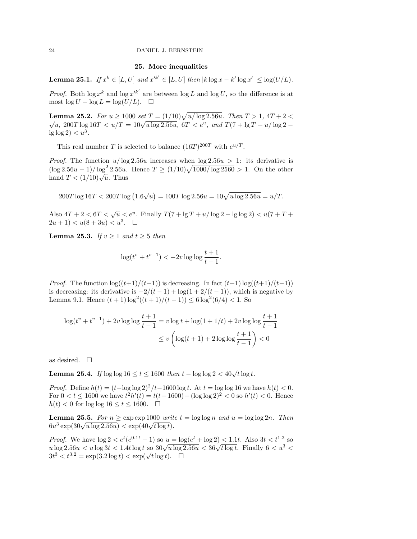# 25. More inequalities

**Lemma 25.1.** If  $x^k \in [L, U]$  and  $x'^{k'} \in [L, U]$  then  $|k \log x - k' \log x'| \le \log(U/L)$ .

*Proof.* Both  $\log x^k$  and  $\log x'^{k'}$  are between  $\log L$  and  $\log U$ , so the difference is at most  $\log U - \log L = \log(U/L)$ .  $\Box$ 

**Lemma 25.2.** For  $u \ge 1000$  set  $T = (1/10)\sqrt{u/\log 2.56u}$ . Then  $T > 1$ ,  $4T + 2 <$ **Definite 25.2.** For  $u \ge 1000$  set  $T = (1/10)\sqrt{u}$  log 2.50*u*. Then  $T > 1$ ,  $4T + 2 < \sqrt{u}$ , 200T log 16T  $\lt u/T = 10\sqrt{u \log 2.56u}$ , 6T  $\lt e^u$ , and  $T(7 + \lg T + u/\log 2 \lg \log 2$ )  $< u^3$ .

This real number T is selected to balance  $(16T)^{200T}$  with  $e^{u/T}$ .

*Proof.* The function  $u/\log 2.56u$  increases when  $\log 2.56u > 1$ : its derivative is  $(\log 2.56u - 1)/ \log^2 2.56u$ . Hence  $T \ge (1/10)\sqrt{1000/\log 2560} > 1$ . On the other  $(\log 2.56a - 1) / \log 2.56a$ .<br>hand  $T < (1/10)\sqrt{u}$ . Thus

 $200T \log 16T < 200T \log (1.6\sqrt{u}) = 100T \log 2.56u = 10\sqrt{u \log 2.56u} = u/T.$ 

Also  $4T + 2 < 6T < \sqrt{u} < e^u$ . Finally  $T(7 + \lg T + u/\log 2 - \lg \log 2) < u(7 + T +$  $2u+1$ )  $$3$ .  $\square$ </u></u>$ 

**Lemma 25.3.** If  $v \geq 1$  and  $t \geq 5$  then

$$
\log(t^v + t^{v-1}) < -2v \log \log \frac{t+1}{t-1}.
$$

*Proof.* The function  $\log((t+1)/(t-1))$  is decreasing. In fact  $(t+1)\log((t+1)/(t-1))$ is decreasing: its derivative is  $-2/(t-1) + \log(1 + 2/(t-1))$ , which is negative by Lemma 9.1. Hence  $(t+1)\log^2((t+1)/(t-1)) \leq 6\log^2(6/4) < 1$ . So

$$
\log(t^v + t^{v-1}) + 2v \log \log \frac{t+1}{t-1} = v \log t + \log(1+1/t) + 2v \log \log \frac{t+1}{t-1}
$$
  

$$
\le v \left( \log(t+1) + 2 \log \log \frac{t+1}{t-1} \right) < 0
$$

as desired.  $\square$ 

**Lemma 25.4.** If  $\log \log 16 \le t \le 1600$  then  $t - \log \log 2 < 40\sqrt{t \log t}$ .

*Proof.* Define  $h(t) = (t-\log \log 2)^2/t-1600 \log t$ . At  $t = \log \log 16$  we have  $h(t) < 0$ . For  $0 < t \le 1600$  we have  $t^2 h'(t) = t(t-1600) - (\log \log 2)^2 < 0$  so  $h'(t) < 0$ . Hence  $h(t) < 0$  for  $\log \log 16 \le t \le 1600$ .  $\Box$ 

**Lemma 25.5.** For  $n \geq \exp \exp 1000$  write  $t = \log \log n$  and  $u = \log \log 2n$ . Then **Lemma 23.3.** For  $n \ge \exp(\frac{30}{\sqrt{u} \log 2.56u}) < \exp(40 \sqrt{t \log t})$ .

*Proof.* We have  $\log 2 < e^t (e^{0.1t} - 1)$  so  $u = \log(e^t + \log 2) < 1.1t$ . Also  $3t < t^{1.2}$  so *Proof.* We have  $\log 2 < e^x (e^x - 1)$  so  $u = \log(e^x + \log 2) < 1.1t$ . Also  $3t < t$  so  $u \log 2.56u < u \log 3t < 1.4t \log t$  so  $30\sqrt{u \log 2.56u} < 36\sqrt{t \log t}$ . Finally  $6 < u^3 <$  $3t^3 < t^{3.2} = \exp(3.2 \log t) < \exp(\sqrt{t \log t})$ . □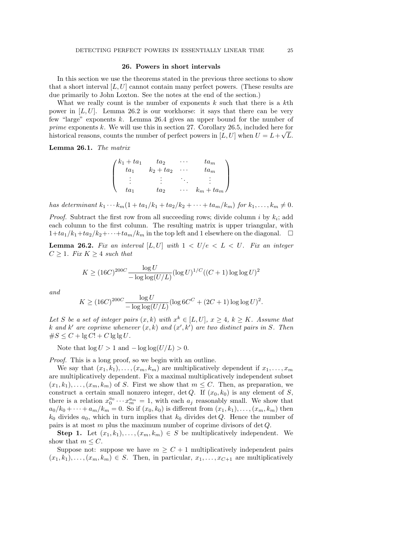#### 26. Powers in short intervals

In this section we use the theorems stated in the previous three sections to show that a short interval  $[L, U]$  cannot contain many perfect powers. (These results are due primarily to John Loxton. See the notes at the end of the section.)

What we really count is the number of exponents  $k$  such that there is a  $k$ th power in  $[L, U]$ . Lemma 26.2 is our workhorse: it says that there can be very few "large" exponents k. Lemma 26.4 gives an upper bound for the number of prime exponents k. We will use this in section 27. Corollary 26.5, included here for historical reasons, counts the number of perfect powers in  $[L, U]$  when  $U = L + \sqrt{L}$ .

Lemma 26.1. The matrix

$$
\begin{pmatrix} k_1 + ta_1 & ta_2 & \cdots & ta_m \\ ta_1 & k_2 + ta_2 & \cdots & ta_m \\ \vdots & \vdots & \ddots & \vdots \\ ta_1 & ta_2 & \cdots & k_m + ta_m \end{pmatrix}
$$

has determinant  $k_1 \cdots k_m (1 + ta_1/k_1 + ta_2/k_2 + \cdots + ta_m/k_m)$  for  $k_1, \ldots, k_m \neq 0$ .

*Proof.* Subtract the first row from all succeeding rows; divide column i by  $k_i$ ; add each column to the first column. The resulting matrix is upper triangular, with  $1+t a_1/k_1+t a_2/k_2+\cdots+t a_m/k_m$  in the top left and 1 elsewhere on the diagonal.  $\Box$ 

**Lemma 26.2.** Fix an interval  $[L, U]$  with  $1 < U/e < L < U$ . Fix an integer  $C \geq 1$ . Fix  $K \geq 4$  such that

$$
K \ge (16C)^{200C} \frac{\log U}{-\log \log(U/L)} (\log U)^{1/C} ((C+1)\log \log U)^2
$$

and

$$
K \ge (16C)^{200C} \frac{\log U}{-\log \log (U/L)} (\log 6C^{C} + (2C + 1)\log \log U)^{2}.
$$

Let S be a set of integer pairs  $(x, k)$  with  $x^k \in [L, U]$ ,  $x \ge 4$ ,  $k \ge K$ . Assume that k and k' are coprime whenever  $(x, k)$  and  $(x', k')$  are two distinct pairs in S. Then  $\#S \leq C + \lg C! + C \lg \lg U$ .

Note that  $\log U > 1$  and  $-\log \log(U/L) > 0$ .

Proof. This is a long proof, so we begin with an outline.

We say that  $(x_1, k_1), \ldots, (x_m, k_m)$  are multiplicatively dependent if  $x_1, \ldots, x_m$ are multiplicatively dependent. Fix a maximal multiplicatively independent subset  $(x_1, k_1), \ldots, (x_m, k_m)$  of S. First we show that  $m \leq C$ . Then, as preparation, we construct a certain small nonzero integer, det Q. If  $(x_0, k_0)$  is any element of S, there is a relation  $x_0^{a_0} \cdots x_m^{a_m} = 1$ , with each  $a_j$  reasonably small. We show that  $a_0/k_0 + \cdots + a_m/k_m = 0$ . So if  $(x_0, k_0)$  is different from  $(x_1, k_1), \ldots, (x_m, k_m)$  then  $k_0$  divides  $a_0$ , which in turn implies that  $k_0$  divides det Q. Hence the number of pairs is at most  $m$  plus the maximum number of coprime divisors of det  $Q$ .

**Step 1.** Let  $(x_1, k_1), \ldots, (x_m, k_m) \in S$  be multiplicatively independent. We show that  $m \leq C$ .

Suppose not: suppose we have  $m \geq C+1$  multiplicatively independent pairs  $(x_1, k_1), \ldots, (x_m, k_m) \in S$ . Then, in particular,  $x_1, \ldots, x_{C+1}$  are multiplicatively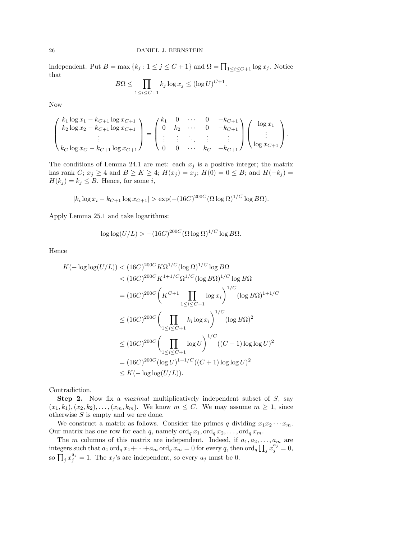independent. Put  $B = \max\{k_j : 1 \le j \le C + 1\}$  and  $\Omega = \prod_{1 \le i \le C+1} \log x_j$ . Notice that  $\overline{B}$ 

$$
3\Omega \le \prod_{1 \le i \le C+1} k_j \log x_j \le (\log U)^{C+1}.
$$

Now

$$
\begin{pmatrix} k_1 \log x_1 - k_{C+1} \log x_{C+1} \\ k_2 \log x_2 - k_{C+1} \log x_{C+1} \\ \vdots \\ k_C \log x_C - k_{C+1} \log x_{C+1} \end{pmatrix} = \begin{pmatrix} k_1 & 0 & \cdots & 0 & -k_{C+1} \\ 0 & k_2 & \cdots & 0 & -k_{C+1} \\ \vdots & \vdots & \ddots & \vdots & \vdots \\ 0 & 0 & \cdots & k_C & -k_{C+1} \end{pmatrix} \begin{pmatrix} \log x_1 \\ \vdots \\ \log x_{C+1} \end{pmatrix}.
$$

The conditions of Lemma 24.1 are met: each  $x_j$  is a positive integer; the matrix has rank C;  $x_j \ge 4$  and  $B \ge K \ge 4$ ;  $H(x_j) = x_j$ ;  $H(0) = 0 \le B$ ; and  $H(-k_j) =$  $H(k_j) = k_j \leq B$ . Hence, for some *i*,

$$
|k_i \log x_i - k_{C+1} \log x_{C+1}| > \exp(-(16C)^{200C} (\Omega \log \Omega)^{1/C} \log B\Omega).
$$

Apply Lemma 25.1 and take logarithms:

$$
\log \log (U/L) > -(16C)^{200C} (\Omega \log \Omega)^{1/C} \log B\Omega.
$$

Hence

$$
K(-\log \log(U/L)) < (16C)^{200C} K\Omega^{1/C} (\log \Omega)^{1/C} \log B\Omega
$$
  

$$
< (16C)^{200C} K^{1+1/C} \Omega^{1/C} (\log B\Omega)^{1/C} \log B\Omega
$$
  

$$
= (16C)^{200C} \left( K^{C+1} \prod_{1 \le i \le C+1} \log x_i \right)^{1/C} (\log B\Omega)^{1+1/C}
$$
  

$$
\le (16C)^{200C} \left( \prod_{1 \le i \le C+1} k_i \log x_i \right)^{1/C} (\log B\Omega)^2
$$
  

$$
\le (16C)^{200C} \left( \prod_{1 \le i \le C+1} \log U \right)^{1/C} ((C+1)\log \log U)^2
$$
  

$$
= (16C)^{200C} (\log U)^{1+1/C} ((C+1)\log \log U)^2
$$
  

$$
\le K(-\log \log(U/L)).
$$

Contradiction.

Step 2. Now fix a *maximal* multiplicatively independent subset of S, say  $(x_1, k_1), (x_2, k_2), \ldots, (x_m, k_m)$ . We know  $m \leq C$ . We may assume  $m \geq 1$ , since otherwise  $S$  is empty and we are done.

We construct a matrix as follows. Consider the primes q dividing  $x_1x_2 \cdots x_m$ . Our matrix has one row for each q, namely  $\operatorname{ord}_q x_1, \operatorname{ord}_q x_2, \ldots, \operatorname{ord}_q x_m$ .

The m columns of this matrix are independent. Indeed, if  $a_1, a_2, \ldots, a_m$  are integers such that  $a_1 \text{ ord}_q x_1 + \cdots + a_m \text{ ord}_q x_m = 0$  for every q, then  $\text{ord}_q \prod_j x_j^{a_j} = 0$ , so  $\prod_j x_j^{a_j} = 1$ . The  $x_j$ 's are independent, so every  $a_j$  must be 0.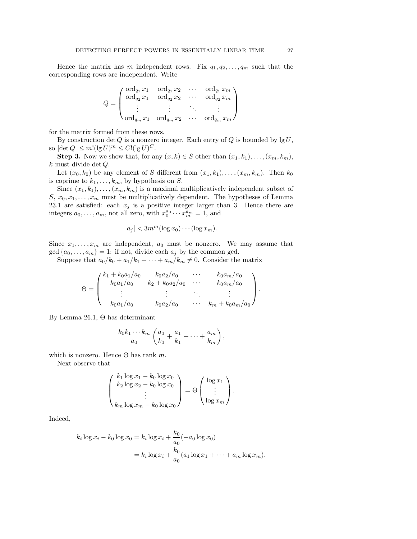Hence the matrix has m independent rows. Fix  $q_1, q_2, \ldots, q_m$  such that the corresponding rows are independent. Write

$$
Q = \begin{pmatrix} \text{ord}_{q_1} x_1 & \text{ord}_{q_1} x_2 & \cdots & \text{ord}_{q_1} x_m \\ \text{ord}_{q_2} x_1 & \text{ord}_{q_2} x_2 & \cdots & \text{ord}_{q_2} x_m \\ \vdots & \vdots & \ddots & \vdots \\ \text{ord}_{q_m} x_1 & \text{ord}_{q_m} x_2 & \cdots & \text{ord}_{q_m} x_m \end{pmatrix}
$$

for the matrix formed from these rows.

By construction  $\det Q$  is a nonzero integer. Each entry of Q is bounded by  $\lg U$ , so  $|\det Q| \le m!(\lg U)^m \le C!(\lg U)^C$ .

**Step 3.** Now we show that, for any  $(x, k) \in S$  other than  $(x_1, k_1), \ldots, (x_m, k_m)$ , k must divide det Q.

Let  $(x_0, k_0)$  be any element of S different from  $(x_1, k_1), \ldots, (x_m, k_m)$ . Then  $k_0$ is coprime to  $k_1, \ldots, k_m$ , by hypothesis on S.

Since  $(x_1, k_1), \ldots, (x_m, k_m)$  is a maximal multiplicatively independent subset of S,  $x_0, x_1, \ldots, x_m$  must be multiplicatively dependent. The hypotheses of Lemma 23.1 are satisfied: each  $x_j$  is a positive integer larger than 3. Hence there are integers  $a_0, \ldots, a_m$ , not all zero, with  $x_0^{a_0} \cdots x_m^{a_m} = 1$ , and

$$
|a_j| < 3m^m(\log x_0) \cdots (\log x_m).
$$

Since  $x_1, \ldots, x_m$  are independent,  $a_0$  must be nonzero. We may assume that  $gcd\{a_0, \ldots, a_m\} = 1$ : if not, divide each  $a_j$  by the common gcd.

Suppose that  $a_0/k_0 + a_1/k_1 + \cdots + a_m/k_m \neq 0$ . Consider the matrix

$$
\Theta = \begin{pmatrix} k_1 + k_0 a_1/a_0 & k_0 a_2/a_0 & \cdots & k_0 a_m/a_0 \\ k_0 a_1/a_0 & k_2 + k_0 a_2/a_0 & \cdots & k_0 a_m/a_0 \\ \vdots & \vdots & \ddots & \vdots \\ k_0 a_1/a_0 & k_0 a_2/a_0 & \cdots & k_m + k_0 a_m/a_0 \end{pmatrix}.
$$

By Lemma 26.1, Θ has determinant

$$
\frac{k_0k_1\cdots k_m}{a_0}\left(\frac{a_0}{k_0}+\frac{a_1}{k_1}+\cdots+\frac{a_m}{k_m}\right),\,
$$

which is nonzero. Hence  $\Theta$  has rank m.

Next observe that

$$
\begin{pmatrix} k_1 \log x_1 - k_0 \log x_0 \\ k_2 \log x_2 - k_0 \log x_0 \\ \vdots \\ k_m \log x_m - k_0 \log x_0 \end{pmatrix} = \Theta \begin{pmatrix} \log x_1 \\ \vdots \\ \log x_m \end{pmatrix}.
$$

Indeed,

$$
k_i \log x_i - k_0 \log x_0 = k_i \log x_i + \frac{k_0}{a_0} (-a_0 \log x_0)
$$
  
=  $k_i \log x_i + \frac{k_0}{a_0} (a_1 \log x_1 + \dots + a_m \log x_m).$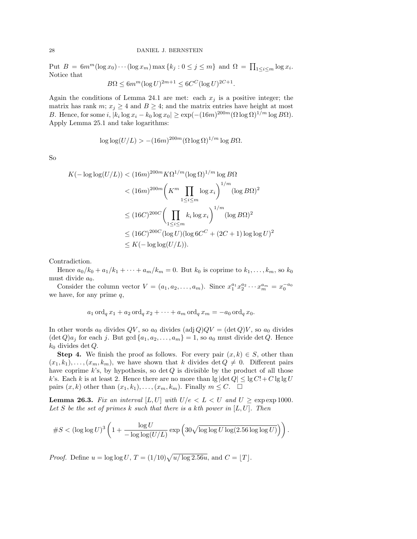Put  $B = 6m^m(\log x_0) \cdots (\log x_m) \max\{k_j : 0 \le j \le m\}$  and  $\Omega = \prod_{1 \le i \le m} \log x_i$ . Notice that

$$
B\Omega \le 6m^m (\log U)^{2m+1} \le 6C^C (\log U)^{2C+1}.
$$

Again the conditions of Lemma 24.1 are met: each  $x_i$  is a positive integer; the matrix has rank m;  $x_i \geq 4$  and  $B \geq 4$ ; and the matrix entries have height at most B. Hence, for some  $i, |k_i \log x_i - k_0 \log x_0| \geq \exp(-(16m)^{200m} (\Omega \log \Omega)^{1/m} \log B\Omega).$ Apply Lemma 25.1 and take logarithms:

$$
\log \log(U/L) > -(16m)^{200m} (\Omega \log \Omega)^{1/m} \log B\Omega.
$$

So

$$
K(-\log \log(U/L)) < (16m)^{200m} K\Omega^{1/m} (\log \Omega)^{1/m} \log B\Omega
$$
  

$$
< (16m)^{200m} \left( K^m \prod_{1 \le i \le m} \log x_i \right)^{1/m} (\log B\Omega)^2
$$
  

$$
\le (16C)^{200C} \left( \prod_{1 \le i \le m} k_i \log x_i \right)^{1/m} (\log B\Omega)^2
$$
  

$$
\le (16C)^{200C} (\log U) (\log 6C^C + (2C + 1) \log \log U)^2
$$
  

$$
\le K(-\log \log(U/L)).
$$

Contradiction.

Hence  $a_0/k_0 + a_1/k_1 + \cdots + a_m/k_m = 0$ . But  $k_0$  is coprime to  $k_1, \ldots, k_m$ , so  $k_0$ must divide  $a_0$ .

Consider the column vector  $V = (a_1, a_2, ..., a_m)$ . Since  $x_1^{a_1} x_2^{a_2} \cdots x_m^{a_m} = x_0^{-a_0}$ we have, for any prime  $q$ ,

$$
a_1 \operatorname{ord}_q x_1 + a_2 \operatorname{ord}_q x_2 + \cdots + a_m \operatorname{ord}_q x_m = -a_0 \operatorname{ord}_q x_0.
$$

In other words  $a_0$  divides  $QV$ , so  $a_0$  divides  $(\text{adj } Q)QV = (\text{det } Q)V$ , so  $a_0$  divides  $(\det Q) a_j$  for each j. But  $\gcd \{a_1, a_2, \ldots, a_m\} = 1$ , so  $a_0$  must divide det Q. Hence  $k_0$  divides det Q.

**Step 4.** We finish the proof as follows. For every pair  $(x, k) \in S$ , other than  $(x_1, k_1), \ldots, (x_m, k_m)$ , we have shown that k divides det  $Q \neq 0$ . Different pairs have coprime  $k$ 's, by hypothesis, so det  $Q$  is divisible by the product of all those k's. Each k is at least 2. Hence there are no more than  $\lg |\det Q| \leq \lg C! + C \lg \lg U$ pairs  $(x, k)$  other than  $(x_1, k_1), \ldots, (x_m, k_m)$ . Finally  $m \leq C$ .  $\Box$ 

**Lemma 26.3.** Fix an interval  $[L, U]$  with  $U/e < L < U$  and  $U \geq \exp \exp 1000$ . Let S be the set of primes k such that there is a kth power in  $[L, U]$ . Then

$$
\#S < (\log\log U)^3 \left(1 + \frac{\log U}{-\log\log(U/L)} \exp\left(30\sqrt{\log\log U \log(2.56\log\log U)}\right)\right)
$$

.

*Proof.* Define  $u = \log \log U$ ,  $T = (1/10)\sqrt{u/\log 2.56u}$ , and  $C = |T|$ .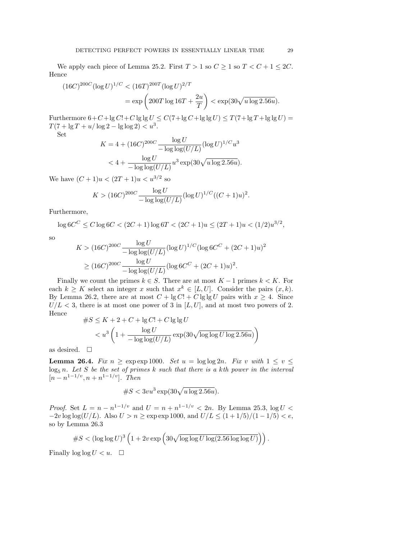We apply each piece of Lemma 25.2. First  $T > 1$  so  $C \ge 1$  so  $T < C + 1 \le 2C$ . Hence

$$
(16C)^{200C} (\log U)^{1/C} < (16T)^{200T} (\log U)^{2/T}
$$
\n
$$
= \exp\left(200T\log 16T + \frac{2u}{T}\right) < \exp(30\sqrt{u\log 2.56u}).
$$

Furthermore  $6+C+\lg C!+C\lg\lg U \leq C(7+\lg C+\lg\lg U) \leq T(7+\lg T+\lg\lg U) =$  $T(7 + \lg T + u/\log 2 - \lg \log 2) < u^3$ .

Set

$$
K = 4 + (16C)^{200C} \frac{\log U}{-\log \log(U/L)} (\log U)^{1/C} u^3
$$
  

$$
< 4 + \frac{\log U}{-\log \log(U/L)} u^3 \exp(30\sqrt{u \log 2.56u}).
$$

We have  $(C+1)u < (2T+1)u < u^{3/2}$  so

$$
K > (16C)^{200C} \frac{\log U}{-\log \log(U/L)} (\log U)^{1/C} ((C+1)u)^2
$$

Furthermore,

 $\log 6C^C \leq C \log 6C < (2C + 1) \log 6T < (2C + 1)u \leq (2T + 1)u < (1/2)u^{3/2}$ ,

so

$$
K > (16C)^{200C} \frac{\log U}{-\log \log(U/L)} (\log U)^{1/C} (\log 6C^{C} + (2C + 1)u)^{2}
$$
  
 
$$
\geq (16C)^{200C} \frac{\log U}{-\log \log(U/L)} (\log 6C^{C} + (2C + 1)u)^{2}.
$$

Finally we count the primes  $k \in S$ . There are at most  $K - 1$  primes  $k < K$ . For each  $k \geq K$  select an integer x such that  $x^k \in [L, U]$ . Consider the pairs  $(x, k)$ . By Lemma 26.2, there are at most  $C + \lg C! + C \lg \lg U$  pairs with  $x \geq 4$ . Since  $U/L < 3$ , there is at most one power of 3 in [L, U], and at most two powers of 2. Hence

$$
#S \leq K + 2 + C + \lg C! + C \lg \lg U
$$
  

$$
< u^3 \left( 1 + \frac{\log U}{-\log \log(U/L)} \exp(30 \sqrt{\log \log U \log 2.56u}) \right)
$$

as desired.  $\square$ 

**Lemma 26.4.** Fix  $n \ge \exp \exp 1000$ . Set  $u = \log \log 2n$ . Fix v with  $1 \le v \le$  $\log_5 n$ . Let S be the set of primes k such that there is a kth power in the interval  $[n - n^{1-1/v}, n + n^{1-1/v}]$ . Then

$$
\#S<3vu^3\exp(30\sqrt{u\log 2.56u}).
$$

*Proof.* Set  $L = n - n^{1-1/v}$  and  $U = n + n^{1-1/v} < 2n$ . By Lemma 25.3,  $\log U$  $-2v \log \log(U/L)$ . Also  $U > n \ge \exp \exp 1000$ , and  $U/L \le (1 + 1/5)/(1 - 1/5) < e$ , so by Lemma 26.3

$$
\#S < (\log \log U)^3 \left(1 + 2v \exp \left(30\sqrt{\log \log U \log(2.56 \log \log U)}\right)\right).
$$

Finally  $\log \log U < u$ .  $\Box$ 

.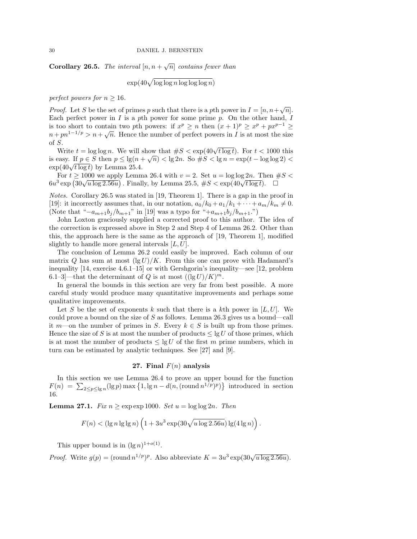**Corollary 26.5.** The interval  $[n, n + \sqrt{n}]$  contains fewer than

$$
\exp(40\sqrt{\log\log n \log\log\log n})
$$

perfect powers for  $n \geq 16$ .

*Proof.* Let S be the set of primes p such that there is a pth power in  $I = [n, n + \sqrt{n}]$ . Each perfect power in  $I$  is a pth power for some prime  $p$ . On the other hand,  $I$ is too short to contain two pth powers: if  $x^p \ge n$  then  $(x+1)^p \ge x^p + px^{p-1} \ge$  $n + p n^{1-1/p} > n + \sqrt{n}$ . Hence the number of perfect powers in I is at most the size of S.

Write  $t = \log \log n$ . We will show that  $\#S < \exp(40\sqrt{t \log t})$ . For  $t < 1000$  this is easy. If  $p \in S$  then  $p \le \lg(n + \sqrt{n}) < \lg 2n$ . So  $\#S < \lg n = \exp(t - \log \log 2)$ is easy. If  $p \in S$  then  $p \le \lg(n - \exp(40\sqrt{t \log t}))$  by Lemma 25.4.

For  $t \ge 1000$  we apply Lemma 26.4 with  $v = 2$ . Set  $u = \log \log 2n$ . Then  $\#S$ For  $t \ge 1000$  we apply Lemma 20.4 with  $v = 2$ . Set  $u = \log \log 2n$ . Then  $\frac{1}{2}$ <br> $6u^3 \exp (30\sqrt{u \log 2.56u})$ . Finally, by Lemma 25.5,  $\#S < \exp(40\sqrt{t \log t})$ .

Notes. Corollary 26.5 was stated in [19, Theorem 1]. There is a gap in the proof in [19]: it incorrectly assumes that, in our notation,  $a_0/k_0 + a_1/k_1 + \cdots + a_m/k_m \neq 0$ . (Note that " $-a_{m+1}b_j/b_{m+1}$ " in [19] was a typo for " $+a_{m+1}b_j/b_{m+1}$ .")

John Loxton graciously supplied a corrected proof to this author. The idea of the correction is expressed above in Step 2 and Step 4 of Lemma 26.2. Other than this, the approach here is the same as the approach of [19, Theorem 1], modified slightly to handle more general intervals  $[L, U]$ .

The conclusion of Lemma 26.2 could easily be improved. Each column of our matrix Q has sum at most  $(\lg U)/K$ . From this one can prove with Hadamard's inequality [14, exercise 4.6.1–15] or with Gershgorin's inequality—see [12, problem 6.1–3]—that the determinant of Q is at most  $((\lg U)/K)^m$ .

In general the bounds in this section are very far from best possible. A more careful study would produce many quantitative improvements and perhaps some qualitative improvements.

Let S be the set of exponents k such that there is a kth power in  $[L, U]$ . We could prove a bound on the size of S as follows. Lemma 26.3 gives us a bound—call it m—on the number of primes in S. Every  $k \in S$  is built up from those primes. Hence the size of S is at most the number of products  $\leq \lg U$  of those primes, which is at most the number of products  $\leq \lg U$  of the first m prime numbers, which in turn can be estimated by analytic techniques. See [27] and [9].

### 27. Final  $F(n)$  analysis

In this section we use Lemma 26.4 to prove an upper bound for the function  $F(n) = \sum_{2 \le p \le \lg n} (\lg p) \max\left\{1, \lg n - d(n, (\text{round } n^{1/p})^p)\right\}$  introduced in section 16.

**Lemma 27.1.** Fix  $n \geq \exp \exp 1000$ . Set  $u = \log \log 2n$ . Then

$$
F(n) < (\lg n \lg \lg n) \left( 1 + 3u^3 \exp(30\sqrt{u \log 2.56u}) \lg(4 \lg n) \right).
$$

This upper bound is in  $(\lg n)^{1+o(1)}$ .

*Proof.* Write  $g(p) = (\text{round } n^{1/p})^p$ . Also abbreviate  $K = 3u^3 \exp(30\sqrt{u \log 2.56u})$ .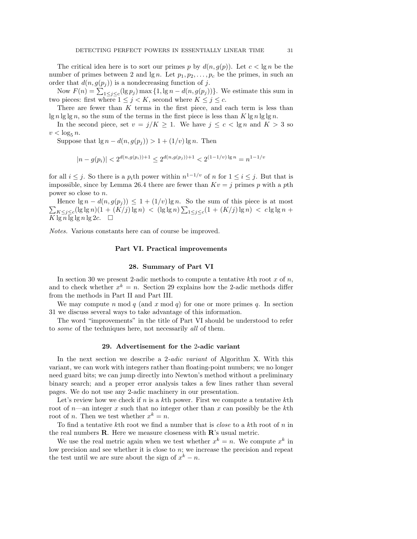The critical idea here is to sort our primes p by  $d(n, g(p))$ . Let  $c < \lg n$  be the number of primes between 2 and lg n. Let  $p_1, p_2, \ldots, p_c$  be the primes, in such an order that  $d(n, g(p_i))$  is a nondecreasing function of j.

Now  $F(n) = \sum_{1 \leq j \leq c} (\lg p_j) \max\{1, \lg n - d(n, g(p_j))\}.$  We estimate this sum in two pieces: first where  $1 \leq j \leq K$ , second where  $K \leq j \leq c$ .

There are fewer than  $K$  terms in the first piece, and each term is less than lg n lg lg n, so the sum of the terms in the first piece is less than  $K \lg n \lg \lg n$ .

In the second piece, set  $v = j/K \ge 1$ . We have  $j \le c < \lg n$  and  $K > 3$  so  $v < \log_5 n$ .

Suppose that  $\lg n - d(n, g(p_i)) > 1 + (1/v) \lg n$ . Then

$$
|n-g(p_i)| < 2^{d(n,g(p_i))+1} \leq 2^{d(n,g(p_j))+1} < 2^{(1-1/v)\lg n} = n^{1-1/v}
$$

for all  $i \leq j$ . So there is a  $p_i$ th power within  $n^{1-1/v}$  of n for  $1 \leq i \leq j$ . But that is impossible, since by Lemma 26.4 there are fewer than  $Kv = j$  primes p with a pth power so close to n.

 $\sum_{K \leq j \leq c} (\lg \lg n)(1 + (K/j)\lg n) < (\lg \lg n) \sum_{1 \leq j \leq c} (1 + (K/j)\lg n) < c \lg \lg n +$ Hence  $\lg n - d(n, g(p_i)) \leq 1 + (1/v) \lg n$ . So the sum of this piece is at most  $\overline{K} \lg n \lg \lg n \lg 2c$ .  $\Box$ 

Notes. Various constants here can of course be improved.

#### Part VI. Practical improvements

#### 28. Summary of Part VI

In section 30 we present 2-adic methods to compute a tentative kth root  $x$  of  $n$ , and to check whether  $x^k = n$ . Section 29 explains how the 2-adic methods differ from the methods in Part II and Part III.

We may compute n mod q (and x mod q) for one or more primes q. In section 31 we discuss several ways to take advantage of this information.

The word "improvements" in the title of Part VI should be understood to refer to some of the techniques here, not necessarily all of them.

#### 29. Advertisement for the 2-adic variant

In the next section we describe a 2-adic variant of Algorithm X. With this variant, we can work with integers rather than floating-point numbers; we no longer need guard bits; we can jump directly into Newton's method without a preliminary binary search; and a proper error analysis takes a few lines rather than several pages. We do not use any 2-adic machinery in our presentation.

Let's review how we check if  $n$  is a kth power. First we compute a tentative kth root of  $n$ —an integer x such that no integer other than x can possibly be the kth root of *n*. Then we test whether  $x^k = n$ .

To find a tentative kth root we find a number that is *close* to a kth root of  $n$  in the real numbers  $\bf R$ . Here we measure closeness with  $\bf R$ 's usual metric.

We use the real metric again when we test whether  $x^k = n$ . We compute  $x^k$  in low precision and see whether it is close to  $n$ ; we increase the precision and repeat the test until we are sure about the sign of  $x^k - n$ .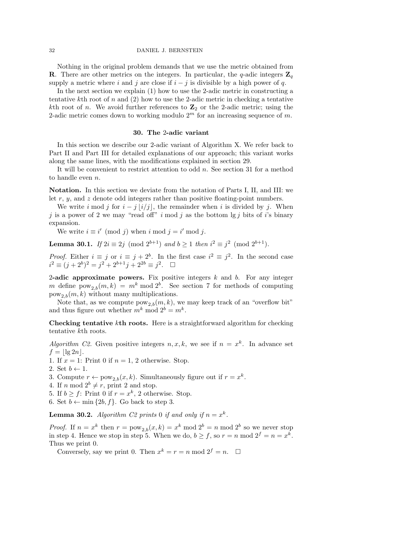Nothing in the original problem demands that we use the metric obtained from **R**. There are other metrics on the integers. In particular, the q-adic integers  $\mathbf{Z}_q$ supply a metric where i and j are close if  $i - j$  is divisible by a high power of q.

In the next section we explain (1) how to use the 2-adic metric in constructing a tentative kth root of  $n$  and  $(2)$  how to use the 2-adic metric in checking a tentative kth root of n. We avoid further references to  $\mathbb{Z}_2$  or the 2-adic metric; using the 2-adic metric comes down to working modulo  $2<sup>m</sup>$  for an increasing sequence of m.

#### 30. The 2-adic variant

In this section we describe our 2-adic variant of Algorithm X. We refer back to Part II and Part III for detailed explanations of our approach; this variant works along the same lines, with the modifications explained in section 29.

It will be convenient to restrict attention to odd  $n$ . See section 31 for a method to handle even  $n$ .

Notation. In this section we deviate from the notation of Parts I, II, and III: we let  $r, y$ , and  $z$  denote odd integers rather than positive floating-point numbers.

We write i mod j for  $i - j \lfloor i/j \rfloor$ , the remainder when i is divided by j. When j is a power of 2 we may "read off" i mod j as the bottom  $\lg j$  bits of i's binary expansion.

We write  $i \equiv i' \pmod{j}$  when  $i \mod j = i' \mod j$ .

**Lemma 30.1.** If  $2i \equiv 2j \pmod{2^{b+1}}$  and  $b \ge 1$  then  $i^2 \equiv j^2 \pmod{2^{b+1}}$ .

*Proof.* Either  $i \equiv j$  or  $i \equiv j + 2^b$ . In the first case  $i^2 \equiv j^2$ . In the second case  $i^2 \equiv (j+2^b)^2 = j^2 + 2^{b+1}j + 2^{2b} \equiv j^2$ .  $\Box$ 

2-adic approximate powers. Fix positive integers  $k$  and  $b$ . For any integer m define  $pow_{2,b}(m, k) = m^k \mod 2^b$ . See section 7 for methods of computing  $pow_{2,b}(m, k)$  without many multiplications.

Note that, as we compute  $pow_{2,b}(m, k)$ , we may keep track of an "overflow bit" and thus figure out whether  $m^k \mod 2^b = m^k$ .

Checking tentative kth roots. Here is a straightforward algorithm for checking tentative kth roots.

Algorithm C2. Given positive integers  $n, x, k$ , we see if  $n = x^k$ . In advance set  $f = |\lg 2n|$ .

1. If  $x = 1$ : Print 0 if  $n = 1$ , 2 otherwise. Stop.

2. Set  $b \leftarrow 1$ .

3. Compute  $r \leftarrow \text{pow}_{2,b}(x,k)$ . Simultaneously figure out if  $r = x^k$ .

- 4. If n mod  $2^b \neq r$ , print 2 and stop.
- 5. If  $b \ge f$ : Print 0 if  $r = x^k$ , 2 otherwise. Stop.
- 6. Set  $b \leftarrow \min\{2b, f\}$ . Go back to step 3.

**Lemma 30.2.** Algorithm C2 prints 0 if and only if  $n = x^k$ .

*Proof.* If  $n = x^k$  then  $r = \text{pow}_{2,b}(x, k) = x^k \text{ mod } 2^b = n \text{ mod } 2^b$  so we never stop in step 4. Hence we stop in step 5. When we do,  $b \ge f$ , so  $r = n \mod 2^f = n = x^k$ . Thus we print 0.

Conversely, say we print 0. Then  $x^k = r = n \text{ mod } 2^f = n$ .  $\Box$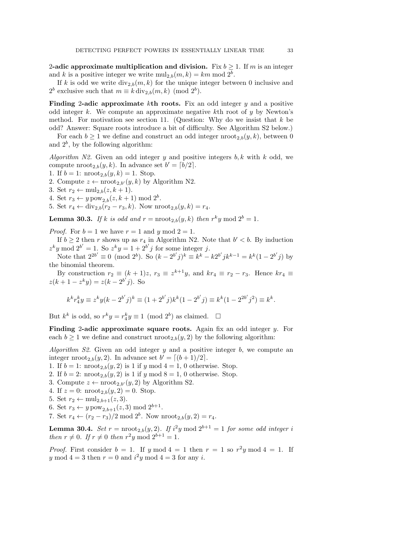2-adic approximate multiplication and division. Fix  $b \ge 1$ . If m is an integer and k is a positive integer we write  $\text{mul}_{2,b}(m, k) = km \text{ mod } 2^b$ .

If k is odd we write  $div_{2,b}(m, k)$  for the unique integer between 0 inclusive and  $2^b$  exclusive such that  $m \equiv k \operatorname{div}_{2,b}(m,k) \pmod{2^b}$ .

**Finding 2-adic approximate kth roots.** Fix an odd integer  $y$  and a positive odd integer  $k$ . We compute an approximate negative  $k$ th root of  $y$  by Newton's method. For motivation see section 11. (Question: Why do we insist that  $k$  be odd? Answer: Square roots introduce a bit of difficulty. See Algorithm S2 below.)

For each  $b \geq 1$  we define and construct an odd integer nroot<sub>2</sub>  $_b(y, k)$ , between 0 and  $2^b$ , by the following algorithm:

Algorithm N2. Given an odd integer y and positive integers  $b, k$  with k odd, we compute  $\text{proof}_{2,b}(y,k)$ . In advance set  $b' = \lceil b/2 \rceil$ .

- 1. If  $b = 1$ :  $\text{nroot}_{2,b}(y, k) = 1$ . Stop.
- 2. Compute  $z \leftarrow \text{nroot}_{2,b'}(y, k)$  by Algorithm N2.
- 3. Set  $r_2 \leftarrow \text{mul}_{2,b}(z, k+1)$ .
- 4. Set  $r_3 \leftarrow y \text{pow}_{2,b}(z, k+1) \text{ mod } 2^b$ .
- 5. Set  $r_4 \leftarrow \text{div}_{2,b}(r_2 r_3, k)$ . Now  $\text{mroot}_{2,b}(y, k) = r_4$ .

**Lemma 30.3.** If k is odd and  $r = \text{nroot}_{2,b}(y, k)$  then  $r^k y \mod 2^b = 1$ .

*Proof.* For  $b = 1$  we have  $r = 1$  and y mod  $2 = 1$ .

If  $b \geq 2$  then r shows up as  $r_4$  in Algorithm N2. Note that  $b' < b$ . By induction  $z^k y \mod 2^{b'} = 1$ . So  $z^k y = 1 + 2^{b'} j$  for some integer j.

Note that  $2^{2b'} \equiv 0 \pmod{2^b}$ . So  $(k - 2^{b'}j)^k \equiv k^k - k2^{b'}jk^{k-1} = k^k(1 - 2^{b'}j)$  by the binomial theorem.

By construction  $r_2 \equiv (k+1)z$ ,  $r_3 \equiv z^{k+1}y$ , and  $kr_4 \equiv r_2 - r_3$ . Hence  $kr_4 \equiv$  $z(k+1-z^k y) = z(k-2^{b'}j)$ . So

$$
k^{k}r_{4}^{k}y \equiv z^{k}y(k - 2^{b'}j)^{k} \equiv (1 + 2^{b'}j)k^{k}(1 - 2^{b'}j) \equiv k^{k}(1 - 2^{2b'}j^{2}) \equiv k^{k}.
$$

But  $k^k$  is odd, so  $r^k y = r_4^k y \equiv 1 \pmod{2^b}$  as claimed.  $\Box$ 

**Finding 2-adic approximate square roots.** Again fix an odd integer  $y$ . For each  $b \ge 1$  we define and construct  $\text{mod}_{2,b}(y, 2)$  by the following algorithm:

Algorithm S2. Given an odd integer y and a positive integer b, we compute an integer nroot<sub>2,b</sub> $(y, 2)$ . In advance set  $b' = \lfloor (b + 1)/2 \rfloor$ .

1. If  $b = 1$ : nroot<sub>2,b</sub> $(y, 2)$  is 1 if y mod 4 = 1, 0 otherwise. Stop.

- 2. If  $b = 2$ : nroot<sub>2,b</sub> $(y, 2)$  is 1 if y mod  $8 = 1$ , 0 otherwise. Stop.
- 3. Compute  $z \leftarrow \text{nroot}_{2,b'}(y, 2)$  by Algorithm S2.
- 4. If  $z = 0$ :  $\text{nroot}_{2,b}(y, 2) = 0$ . Stop.
- 5. Set  $r_2 \leftarrow \text{mul}_{2,b+1}(z, 3)$ .
- 6. Set  $r_3 \leftarrow y \text{pow}_{2,b+1}(z,3) \text{ mod } 2^{b+1}$ .
- 7. Set  $r_4 \leftarrow (r_2 r_3)/2 \mod 2^b$ . Now  $\text{nroot}_{2,b}(y, 2) = r_4$ .

**Lemma 30.4.** Set  $r = \text{proof}_{2,b}(y, 2)$ . If  $i^2y \text{ mod } 2^{b+1} = 1$  for some odd integer i then  $r \neq 0$ . If  $r \neq 0$  then  $r^2y \mod 2^{b+1} = 1$ .

*Proof.* First consider  $b = 1$ . If y mod  $4 = 1$  then  $r = 1$  so  $r^2y \mod 4 = 1$ . If y mod  $4 = 3$  then  $r = 0$  and  $i^2y$  mod  $4 = 3$  for any i.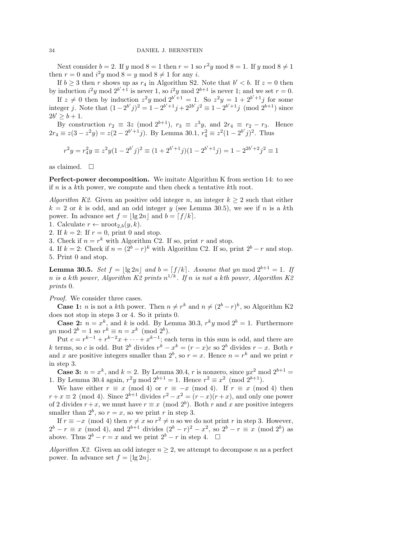Next consider  $b = 2$ . If y mod  $8 = 1$  then  $r = 1$  so  $r^2y$  mod  $8 = 1$ . If y mod  $8 \neq 1$ then  $r = 0$  and  $i^2y \mod 8 = y \mod 8 \neq 1$  for any i.

If  $b \geq 3$  then r shows up as  $r_4$  in Algorithm S2. Note that  $b' < b$ . If  $z = 0$  then by induction  $i^2y \mod 2^{b'+1}$  is never 1, so  $i^2y \mod 2^{b+1}$  is never 1; and we set  $r=0$ .

If  $z \neq 0$  then by induction  $z^2y$  mod  $2^{b'+1} = 1$ . So  $z^2y = 1 + 2^{b'+1}j$  for some integer j. Note that  $(1 - 2^{b'}j)^2 = 1 - 2^{b'+1}j + 2^{2b'}j^2 \equiv 1 - 2^{b'+1}j \pmod{2^{b+1}}$  since  $2b' \ge b + 1.$ 

By construction  $r_2 \equiv 3z \pmod{2^{b+1}}$ ,  $r_3 \equiv z^3y$ , and  $2r_4 \equiv r_2 - r_3$ . Hence  $2r_4 \equiv z(3 - z^2y) = z(2 - 2^{b'+1}j)$ . By Lemma 30.1,  $r_4^2 \equiv z^2(1 - 2^{b'}j)^2$ . Thus

$$
r^{2}y = r_{4}^{2}y \equiv z^{2}y(1 - 2^{b'}j)^{2} \equiv (1 + 2^{b'+1}j)(1 - 2^{b'+1}j) = 1 - 2^{2b'+2}j^{2} \equiv 1
$$

as claimed.  $\square$ 

Perfect-power decomposition. We imitate Algorithm K from section 14: to see if  $n$  is a kth power, we compute and then check a tentative kth root.

Algorithm K2. Given an positive odd integer n, an integer  $k \geq 2$  such that either  $k = 2$  or k is odd, and an odd integer y (see Lemma 30.5), we see if n is a kth power. In advance set  $f = |\lg 2n|$  and  $b = \lfloor f / k \rfloor$ .

1. Calculate  $r \leftarrow \text{nroot}_{2,b}(y,k)$ .

2. If  $k = 2$ : If  $r = 0$ , print 0 and stop.

3. Check if  $n = r^k$  with Algorithm C2. If so, print r and stop.

4. If  $k = 2$ : Check if  $n = (2^b - r)^k$  with Algorithm C2. If so, print  $2^b - r$  and stop. 5. Print 0 and stop.

**Lemma 30.5.** Set  $f = |\lg 2n|$  and  $b = \lfloor f/k \rfloor$ . Assume that yn mod  $2^{b+1} = 1$ . If n is a kth power, Algorithm K2 prints  $n^{1/k}$ . If n is not a kth power, Algorithm K2 prints 0.

Proof. We consider three cases.

**Case 1:** *n* is not a kth power. Then  $n \neq r^k$  and  $n \neq (2^b - r)^k$ , so Algorithm K2 does not stop in steps 3 or 4. So it prints 0.

**Case 2:**  $n = x^k$ , and k is odd. By Lemma 30.3,  $r^k y$  mod  $2^b = 1$ . Furthermore  $yn \bmod 2^b = 1$  so  $r^k \equiv n = x^k \pmod{2^b}$ .

Put  $c = r^{k-1} + r^{k-2}x + \cdots + x^{k-1}$ ; each term in this sum is odd, and there are k terms, so c is odd. But  $2^b$  divides  $r^k - x^k = (r - x)c$  so  $2^b$  divides  $r - x$ . Both r and x are positive integers smaller than  $2^b$ , so  $r = x$ . Hence  $n = r^k$  and we print r in step 3.

**Case 3:**  $n = x^k$ , and  $k = 2$ . By Lemma 30.4, r is nonzero, since  $yx^2$  mod  $2^{b+1} =$ 1. By Lemma 30.4 again,  $r^2y \mod 2^{b+1} = 1$ . Hence  $r^2 \equiv x^2 \pmod{2^{b+1}}$ .

We have either  $r \equiv x \pmod{4}$  or  $r \equiv -x \pmod{4}$ . If  $r \equiv x \pmod{4}$  then  $r + x \equiv 2 \pmod{4}$ . Since  $2^{b+1}$  divides  $r^2 - x^2 = (r - x)(r + x)$ , and only one power of 2 divides  $r + x$ , we must have  $r \equiv x \pmod{2^b}$ . Both r and x are positive integers smaller than  $2^b$ , so  $r = x$ , so we print r in step 3.

If  $r \equiv -x \pmod{4}$  then  $r \neq x$  so  $r^2 \neq n$  so we do not print r in step 3. However,  $2^{b} - r \equiv x \pmod{4}$ , and  $2^{b+1}$  divides  $(2^{b} - r)^{2} - x^{2}$ , so  $2^{b} - r \equiv x \pmod{2^{b}}$  as above. Thus  $2^b - r = x$  and we print  $2^b - r$  in step 4. □

Algorithm X2. Given an odd integer  $n \geq 2$ , we attempt to decompose n as a perfect power. In advance set  $f = |\lg 2n|$ .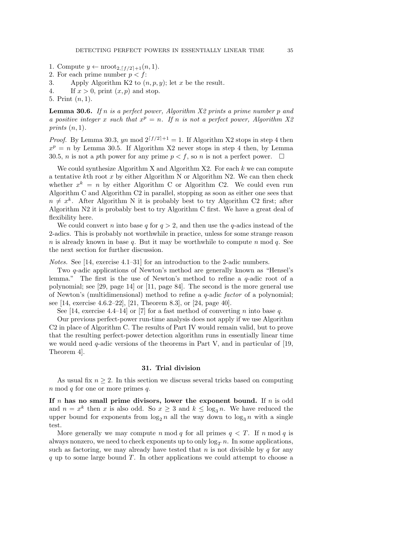- 1. Compute  $y \leftarrow \text{nroot}_{2,\lceil f/2 \rceil+1}(n, 1)$ .
- 2. For each prime number  $p < f$ :
- 3. Apply Algorithm K2 to  $(n, p, y)$ ; let x be the result.
- 4. If  $x > 0$ , print  $(x, p)$  and stop.

5. Print (n, 1).

**Lemma 30.6.** If n is a perfect power, Algorithm  $X2$  prints a prime number p and a positive integer x such that  $x^p = n$ . If n is not a perfect power, Algorithm X2 prints  $(n, 1)$ .

*Proof.* By Lemma 30.3, yn mod  $2^{\lceil f/2 \rceil + 1} = 1$ . If Algorithm X2 stops in step 4 then  $x^p = n$  by Lemma 30.5. If Algorithm X2 never stops in step 4 then, by Lemma 30.5, *n* is not a pth power for any prime  $p < f$ , so *n* is not a perfect power.  $\Box$ 

We could synthesize Algorithm X and Algorithm  $X2$ . For each k we can compute a tentative kth root x by either Algorithm N or Algorithm N2. We can then check whether  $x^k = n$  by either Algorithm C or Algorithm C2. We could even run Algorithm C and Algorithm C2 in parallel, stopping as soon as either one sees that  $n \neq x^k$ . After Algorithm N it is probably best to try Algorithm C2 first; after Algorithm N2 it is probably best to try Algorithm C first. We have a great deal of flexibility here.

We could convert n into base q for  $q > 2$ , and then use the q-adics instead of the 2-adics. This is probably not worthwhile in practice, unless for some strange reason n is already known in base q. But it may be worthwhile to compute n mod q. See the next section for further discussion.

Notes. See [14, exercise 4.1–31] for an introduction to the 2-adic numbers.

Two q-adic applications of Newton's method are generally known as "Hensel's lemma." The first is the use of Newton's method to refine a q-adic root of a polynomial; see [29, page 14] or [11, page 84]. The second is the more general use of Newton's (multidimensional) method to refine a q-adic factor of a polynomial; see [14, exercise 4.6.2–22], [21, Theorem 8.3], or [24, page 40].

See [14, exercise 4.4–14] or [7] for a fast method of converting *n* into base *q*.

Our previous perfect-power run-time analysis does not apply if we use Algorithm C2 in place of Algorithm C. The results of Part IV would remain valid, but to prove that the resulting perfect-power detection algorithm runs in essentially linear time we would need  $q$ -adic versions of the theorems in Part V, and in particular of [19, Theorem 4].

### 31. Trial division

As usual fix  $n \geq 2$ . In this section we discuss several tricks based on computing  $n \mod q$  for one or more primes  $q$ .

If n has no small prime divisors, lower the exponent bound. If  $n$  is odd and  $n = x^k$  then x is also odd. So  $x \ge 3$  and  $k \le \log_3 n$ . We have reduced the upper bound for exponents from  $\log_2 n$  all the way down to  $\log_3 n$  with a single test.

More generally we may compute n mod q for all primes  $q < T$ . If n mod q is always nonzero, we need to check exponents up to only  $\log_{T} n$ . In some applications, such as factoring, we may already have tested that  $n$  is not divisible by  $q$  for any  $q$  up to some large bound T. In other applications we could attempt to choose a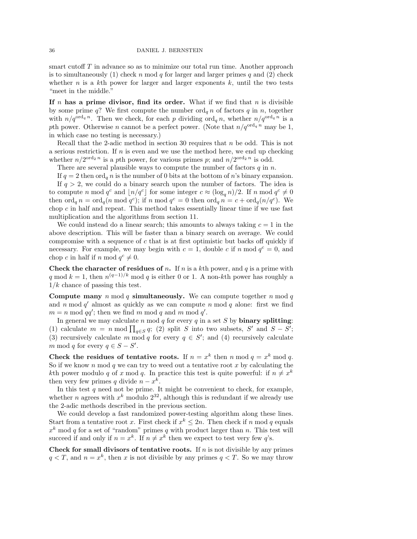smart cutoff  $T$  in advance so as to minimize our total run time. Another approach is to simultaneously (1) check n mod q for larger and larger primes q and (2) check whether n is a kth power for larger and larger exponents  $k$ , until the two tests "meet in the middle."

If n has a prime divisor, find its order. What if we find that n is divisible by some prime q? We first compute the number  $\operatorname{ord}_q n$  of factors q in n, together with  $n/q^{\text{ord}_q n}$ . Then we check, for each p dividing  $\text{ord}_q n$ , whether  $n/q^{\text{ord}_q n}$  is a pth power. Otherwise n cannot be a perfect power. (Note that  $n/q^{\text{ord}_q n}$  may be 1, in which case no testing is necessary.)

Recall that the 2-adic method in section 30 requires that n be odd. This is not a serious restriction. If  $n$  is even and we use the method here, we end up checking whether  $n/2^{\text{ord}_2 n}$  is a pth power, for various primes p; and  $n/2^{\text{ord}_2 n}$  is odd.

There are several plausible ways to compute the number of factors  $q$  in  $n$ .

If  $q = 2$  then  $\text{ord}_q n$  is the number of 0 bits at the bottom of n's binary expansion.

If  $q > 2$ , we could do a binary search upon the number of factors. The idea is to compute n mod  $q^c$  and  $\lfloor n/q^c \rfloor$  for some integer  $c \approx (\log_q n)/2$ . If n mod  $q^c \neq 0$ then  $\operatorname{ord}_q n = \operatorname{ord}_q(n \bmod q^c)$ ; if n mod  $q^c = 0$  then  $\operatorname{ord}_q n = c + \operatorname{ord}_q(n/q^c)$ . We chop  $c$  in half and repeat. This method takes essentially linear time if we use fast multiplication and the algorithms from section 11.

We could instead do a linear search; this amounts to always taking  $c = 1$  in the above description. This will be faster than a binary search on average. We could compromise with a sequence of  $c$  that is at first optimistic but backs off quickly if necessary. For example, we may begin with  $c = 1$ , double c if n mod  $q^c = 0$ , and chop c in half if n mod  $q^c \neq 0$ .

Check the character of residues of n. If n is a kth power, and q is a prime with q mod  $k = 1$ , then  $n^{(q-1)/k} \mod q$  is either 0 or 1. A non-kth power has roughly a  $1/k$  chance of passing this test.

**Compute many** n mod q **simultaneously.** We can compute together n mod q and  $n \mod q'$  almost as quickly as we can compute  $n \mod q$  alone: first we find  $m = n \mod{qq'}$ ; then we find m mod q and m mod q'.

In general we may calculate  $n \mod q$  for every  $q$  in a set  $S$  by **binary splitting**: (1) calculate  $m = n \mod \prod_{q \in S} q$ ; (2) split S into two subsets, S' and  $S - S'$ ; (3) recursively calculate m mod q for every  $q \in S'$ ; and (4) recursively calculate m mod q for every  $q \in S - S'$ .

Check the residues of tentative roots. If  $n = x^k$  then n mod  $q = x^k \mod q$ . So if we know n mod q we can try to weed out a tentative root x by calculating the kth power modulo q of x mod q. In practice this test is quite powerful: if  $n \neq x^k$ then very few primes q divide  $n - x^k$ .

In this test  $q$  need not be prime. It might be convenient to check, for example, whether *n* agrees with  $x^k$  modulo  $2^{32}$ , although this is redundant if we already use the 2-adic methods described in the previous section.

We could develop a fast randomized power-testing algorithm along these lines. Start from a tentative root x. First check if  $x^k \leq 2n$ . Then check if n mod q equals  $x<sup>k</sup>$  mod q for a set of "random" primes q with product larger than n. This test will succeed if and only if  $n = x^k$ . If  $n \neq x^k$  then we expect to test very few q's.

Check for small divisors of tentative roots. If  $n$  is not divisible by any primes  $q < T$ , and  $n = x^k$ , then x is not divisible by any primes  $q < T$ . So we may throw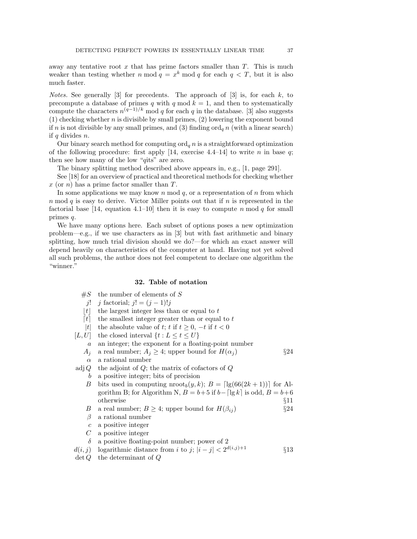away any tentative root  $x$  that has prime factors smaller than  $T$ . This is much weaker than testing whether n mod  $q = x^k \mod q$  for each  $q < T$ , but it is also much faster.

*Notes.* See generally [3] for precedents. The approach of [3] is, for each k, to precompute a database of primes q with q mod  $k = 1$ , and then to systematically compute the characters  $n^{(q-1)/k} \mod q$  for each q in the database. [3] also suggests  $(1)$  checking whether *n* is divisible by small primes,  $(2)$  lowering the exponent bound if n is not divisible by any small primes, and (3) finding  $\operatorname{ord}_q n$  (with a linear search) if  $q$  divides  $n$ .

Our binary search method for computing  $\text{ord}_q n$  is a straightforward optimization of the following procedure: first apply [14, exercise 4.4–14] to write n in base q; then see how many of the low "qits" are zero.

The binary splitting method described above appears in, e.g., [1, page 291].

See [18] for an overview of practical and theoretical methods for checking whether  $x$  (or n) has a prime factor smaller than T.

In some applications we may know n mod  $q$ , or a representation of  $n$  from which  $n \mod q$  is easy to derive. Victor Miller points out that if  $n$  is represented in the factorial base [14, equation 4.1–10] then it is easy to compute n mod q for small primes q.

We have many options here. Each subset of options poses a new optimization problem—e.g., if we use characters as in [3] but with fast arithmetic and binary splitting, how much trial division should we do?—for which an exact answer will depend heavily on characteristics of the computer at hand. Having not yet solved all such problems, the author does not feel competent to declare one algorithm the "winner."

### 32. Table of notation

- $#S$  the number of elements of S
- j! j factorial; j! =  $(j-1)!j$
- $|t|$  the largest integer less than or equal to t
- $\lceil t \rceil$  the smallest integer greater than or equal to t
- |t| the absolute value of t; t if  $t > 0$ ,  $-t$  if  $t < 0$
- [L, U] the closed interval  $\{t : L \le t \le U\}$ 
	- a an integer; the exponent for a floating-point number
	- $A_i$  a real number;  $A_i \geq 4$ ; upper bound for  $H(\alpha_i)$  §24
	- $\alpha$  a rational number
- adj $Q$  the adjoint of  $Q$ ; the matrix of cofactors of  $Q$ 
	- b a positive integer; bits of precision
	- B bits used in computing  $\text{nroot}_b(y, k); B = \lfloor \lg(66(2k+1)) \rfloor$  for Algorithm B; for Algorithm N,  $B = b+5$  if  $b-[lg k]$  is odd,  $B = b+6$ otherwise §11
	- B a real number;  $B \geq 4$ ; upper bound for  $H(\beta_{ij})$  §24
	- $\beta$  a rational number
	- c a positive integer
	- $C$  a positive integer
	- $\delta$  a positive floating-point number; power of 2
- $d(i, j)$  logarithmic distance from i to j;  $|i j| < 2^{d(i, j)+1}$  §13
- $\det Q$  the determinant of  $Q$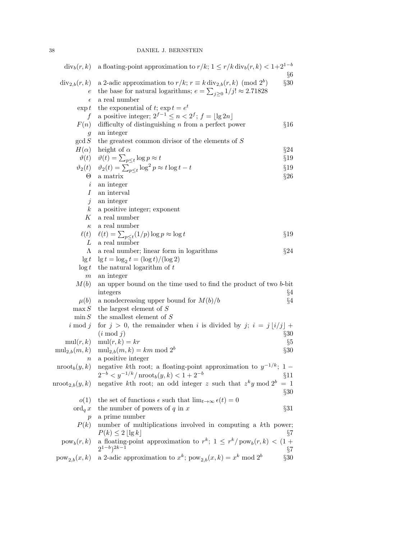| $div_b(r, k)$               | a floating-point approximation to $r/k$ ; $1 \le r/k$ div <sub>b</sub> $(r, k) < 1+2^{1-b}$              |         |
|-----------------------------|----------------------------------------------------------------------------------------------------------|---------|
|                             |                                                                                                          | $\S6$   |
| $div_{2,b}(r,k)$            | a 2-adic approximation to $r/k$ ; $r \equiv k \operatorname{div}_{2,b}(r, k) \pmod{2^b}$                 | §30     |
| $\,e\,$                     | the base for natural logarithms; $e = \sum_{j\geq 0} 1/j! \approx 2.71828$                               |         |
| $\epsilon$                  | a real number                                                                                            |         |
| $\exp t$                    | the exponential of t; $\exp t = e^t$                                                                     |         |
| f                           | a positive integer; $2^{f-1} \le n < 2^f$ ; $f = \lfloor \lg 2n \rfloor$                                 |         |
| F(n)                        | difficulty of distinguishing $n$ from a perfect power                                                    | §16     |
| g                           | an integer                                                                                               |         |
| gcd S                       | the greatest common divisor of the elements of $S$                                                       |         |
| $H(\alpha)$                 | height of $\alpha$                                                                                       | §24     |
|                             | $\vartheta(t)$ $\vartheta(t) = \sum_{p \leq t} \log p \approx t$                                         | $\S 19$ |
|                             | $\vartheta_2(t)$ $\quad \vartheta_2(t) = \sum_{p < t} \log^2 p \approx t \log t - t$                     | §19     |
| $\Theta$                    | a matrix                                                                                                 | $\S 26$ |
| $\dot{\imath}$              | an integer                                                                                               |         |
| $\overline{I}$              | an interval                                                                                              |         |
| $\dot{j}$                   | an integer                                                                                               |         |
| $\boldsymbol{k}$            | a positive integer; exponent                                                                             |         |
| Κ                           | a real number                                                                                            |         |
| $\kappa$                    | a real number                                                                                            |         |
| $\ell(t)$                   | $\ell(t) = \sum_{p \leq t} (1/p) \log p \approx \log t$                                                  | §19     |
| L                           | a real number                                                                                            |         |
| Λ                           | a real number; linear form in logarithms                                                                 | $\S 24$ |
| $\lg t$                     | $\lg t = \log_2 t = (\log t)/(\log 2)$                                                                   |         |
| $\log t$                    | the natural logarithm of $t$                                                                             |         |
| $\,m$                       | an integer                                                                                               |         |
| M(b)                        | an upper bound on the time used to find the product of two b-bit                                         |         |
|                             | integers                                                                                                 | §4      |
| $\mu(b)$                    | a nondecreasing upper bound for $M(b)/b$                                                                 | $\S4$   |
| $\max S$                    | the largest element of $S$                                                                               |         |
| $\min S$                    | the smallest element of $S$                                                                              |         |
| $i \mod j$                  | for $j > 0$ , the remainder when i is divided by j; $i = j \lfloor i/j \rfloor + j$                      |         |
|                             | $(i \bmod j)$                                                                                            | $\S 30$ |
| $\mathrm{mul}(r,k)$         | $mul(r, k) = kr$                                                                                         | $\S 5$  |
| $\text{mul}_{2,b}(m,k)$     | $mul_{2,b}(m,k) = km \mod 2^b$                                                                           | §30     |
| $\it n$                     | a positive integer                                                                                       |         |
| $\mathrm{nroot}_b(y,k)$     | negative kth root; a floating-point approximation to $y^{-1/k}$ ; 1 –                                    |         |
|                             | $2^{-b} < y^{-1/k}/\text{nroot}_b(y,k) < 1+2^{-b}$                                                       | §11     |
| $\mathrm{nroot}_{2,b}(y,k)$ | negative kth root; an odd integer z such that $z^k y \mod 2^b = 1$                                       |         |
|                             |                                                                                                          | $\S 30$ |
| o(1)                        | the set of functions $\epsilon$ such that $\lim_{t\to\infty} \epsilon(t) = 0$                            |         |
| $\operatorname{ord}_q x$    | the number of powers of $q$ in $x$                                                                       | $\S 31$ |
| р                           | a prime number                                                                                           |         |
| P(k)                        | number of multiplications involved in computing a kth power;                                             |         |
|                             | $P(k) \leq 2 \lfloor \lg k \rfloor$                                                                      | $\S 7$  |
| $pow_b(r, k)$               | a floating-point approximation to $r^k$ ; $1 \leq r^k / \text{pow}_b(r, k) < (1 +$<br>$(2^{1-b})^{2k-1}$ | $\S 7$  |
| $pow_{2,b}(x,k)$            | a 2-adic approximation to $x^k;$ $\mathsf{pow}_{2,b}(x,k) = x^k \bmod 2^b$                               | §30     |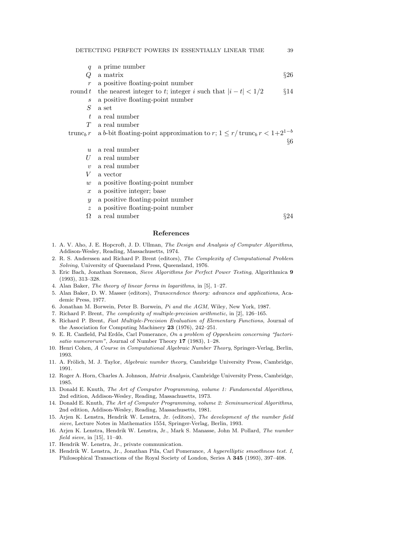- q a prime number  $Q$  a matrix  $\S 26$ r a positive floating-point number round t the nearest integer to t; integer i such that  $|i - t| < 1/2$  §14 s a positive floating-point number  $S$  a set t a real number T a real number trunc<sub>b</sub> r a b-bit floating-point approximation to r;  $1 \leq r/\text{trunc}_b r < 1+2^{1-b}$ 
	- $u$  a real number
	- $U$  a real number
	- v a real number
	- V a vector
	- $w$  a positive floating-point number
	- $x$  a positive integer; base
	- y a positive floating-point number
	- z a positive floating-point number
	- $\Omega$  a real number §24

§6

#### References

- 1. A. V. Aho, J. E. Hopcroft, J. D. Ullman, The Design and Analysis of Computer Algorithms, Addison-Wesley, Reading, Massachusetts, 1974.
- 2. R. S. Anderssen and Richard P. Brent (editors), The Complexity of Computational Problem Solving, University of Queensland Press, Queensland, 1976.
- 3. Eric Bach, Jonathan Sorenson, Sieve Algorithms for Perfect Power Testing, Algorithmica 9 (1993), 313–328.
- 4. Alan Baker, The theory of linear forms in logarithms, in [5], 1–27.
- 5. Alan Baker, D. W. Masser (editors), Transcendence theory: advances and applications, Academic Press, 1977.
- 6. Jonathan M. Borwein, Peter B. Borwein, Pi and the AGM, Wiley, New York, 1987.
- 7. Richard P. Brent, The complexity of multiple-precision arithmetic, in [2], 126–165.
- 8. Richard P. Brent, Fast Multiple-Precision Evaluation of Elementary Functions, Journal of the Association for Computing Machinery 23 (1976), 242–251.
- 9. E. R. Canfield, Pal Erdős, Carl Pomerance, On a problem of Oppenheim concerning "factorisatio numerorum", Journal of Number Theory  $17$  (1983), 1-28.
- 10. Henri Cohen, A Course in Computational Algebraic Number Theory, Springer-Verlag, Berlin, 1993.
- 11. A. Frölich, M. J. Taylor, Algebraic number theory, Cambridge University Press, Cambridge, 1991.
- 12. Roger A. Horn, Charles A. Johnson, Matrix Analysis, Cambridge University Press, Cambridge, 1985.
- 13. Donald E. Knuth, The Art of Computer Programming, volume 1: Fundamental Algorithms, 2nd edition, Addison-Wesley, Reading, Massachusetts, 1973.
- 14. Donald E. Knuth, The Art of Computer Programming, volume 2: Seminumerical Algorithms, 2nd edition, Addison-Wesley, Reading, Massachusetts, 1981.
- 15. Arjen K. Lenstra, Hendrik W. Lenstra, Jr. (editors), The development of the number field sieve, Lecture Notes in Mathematics 1554, Springer-Verlag, Berlin, 1993.
- 16. Arjen K. Lenstra, Hendrik W. Lenstra, Jr., Mark S. Manasse, John M. Pollard, The number field sieve, in [15], 11–40.
- 17. Hendrik W. Lenstra, Jr., private communication.
- 18. Hendrik W. Lenstra, Jr., Jonathan Pila, Carl Pomerance, A hyperelliptic smoothness test. I, Philosophical Transactions of the Royal Society of London, Series A 345 (1993), 397–408.